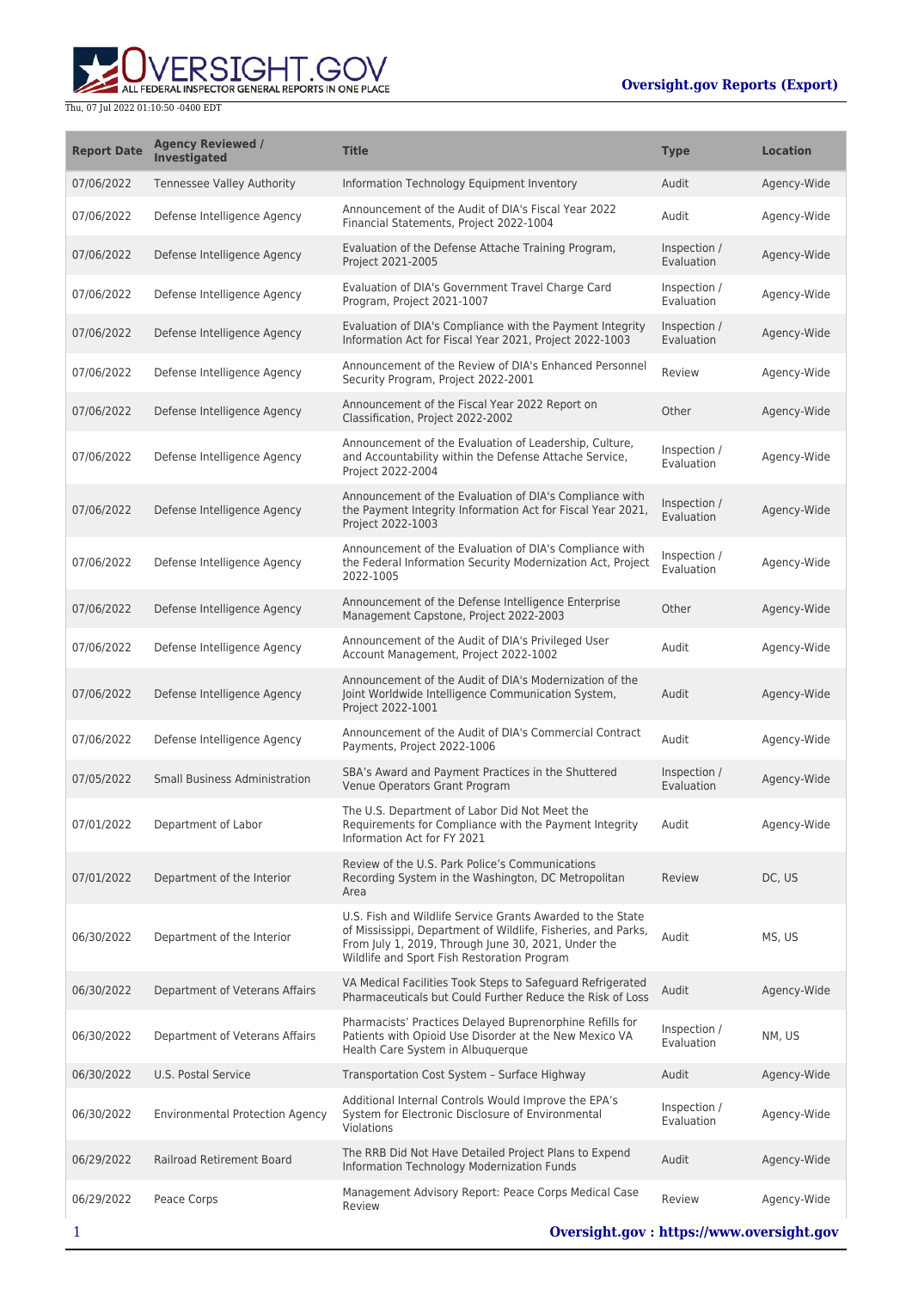ERSIGHT.GOV ALL FEDERAL INSPECTOR GENERAL REPORTS IN ONE PLACE

| <b>Report Date</b> | <b>Agency Reviewed /</b><br>Investigated | <b>Title</b>                                                                                                                                                                                                                      | <b>Type</b>                | <b>Location</b> |
|--------------------|------------------------------------------|-----------------------------------------------------------------------------------------------------------------------------------------------------------------------------------------------------------------------------------|----------------------------|-----------------|
| 07/06/2022         | Tennessee Valley Authority               | Information Technology Equipment Inventory                                                                                                                                                                                        | Audit                      | Agency-Wide     |
| 07/06/2022         | Defense Intelligence Agency              | Announcement of the Audit of DIA's Fiscal Year 2022<br>Financial Statements, Project 2022-1004                                                                                                                                    | Audit                      | Agency-Wide     |
| 07/06/2022         | Defense Intelligence Agency              | Evaluation of the Defense Attache Training Program,<br>Project 2021-2005                                                                                                                                                          | Inspection /<br>Evaluation | Agency-Wide     |
| 07/06/2022         | Defense Intelligence Agency              | Evaluation of DIA's Government Travel Charge Card<br>Program, Project 2021-1007                                                                                                                                                   | Inspection /<br>Evaluation | Agency-Wide     |
| 07/06/2022         | Defense Intelligence Agency              | Evaluation of DIA's Compliance with the Payment Integrity<br>Information Act for Fiscal Year 2021, Project 2022-1003                                                                                                              | Inspection /<br>Evaluation | Agency-Wide     |
| 07/06/2022         | Defense Intelligence Agency              | Announcement of the Review of DIA's Enhanced Personnel<br>Security Program, Project 2022-2001                                                                                                                                     | Review                     | Agency-Wide     |
| 07/06/2022         | Defense Intelligence Agency              | Announcement of the Fiscal Year 2022 Report on<br>Classification, Project 2022-2002                                                                                                                                               | Other                      | Agency-Wide     |
| 07/06/2022         | Defense Intelligence Agency              | Announcement of the Evaluation of Leadership, Culture,<br>and Accountability within the Defense Attache Service,<br>Project 2022-2004                                                                                             | Inspection /<br>Evaluation | Agency-Wide     |
| 07/06/2022         | Defense Intelligence Agency              | Announcement of the Evaluation of DIA's Compliance with<br>the Payment Integrity Information Act for Fiscal Year 2021,<br>Project 2022-1003                                                                                       | Inspection /<br>Evaluation | Agency-Wide     |
| 07/06/2022         | Defense Intelligence Agency              | Announcement of the Evaluation of DIA's Compliance with<br>the Federal Information Security Modernization Act, Project<br>2022-1005                                                                                               | Inspection /<br>Evaluation | Agency-Wide     |
| 07/06/2022         | Defense Intelligence Agency              | Announcement of the Defense Intelligence Enterprise<br>Management Capstone, Project 2022-2003                                                                                                                                     | Other                      | Agency-Wide     |
| 07/06/2022         | Defense Intelligence Agency              | Announcement of the Audit of DIA's Privileged User<br>Account Management, Project 2022-1002                                                                                                                                       | Audit                      | Agency-Wide     |
| 07/06/2022         | Defense Intelligence Agency              | Announcement of the Audit of DIA's Modernization of the<br>Joint Worldwide Intelligence Communication System,<br>Project 2022-1001                                                                                                | Audit                      | Agency-Wide     |
| 07/06/2022         | Defense Intelligence Agency              | Announcement of the Audit of DIA's Commercial Contract<br>Payments, Project 2022-1006                                                                                                                                             | Audit                      | Agency-Wide     |
| 07/05/2022         | <b>Small Business Administration</b>     | SBA's Award and Payment Practices in the Shuttered<br>Venue Operators Grant Program                                                                                                                                               | Inspection /<br>Evaluation | Agency-Wide     |
| 07/01/2022         | Department of Labor                      | The U.S. Department of Labor Did Not Meet the<br>Requirements for Compliance with the Payment Integrity<br>Information Act for FY 2021                                                                                            | Audit                      | Agency-Wide     |
| 07/01/2022         | Department of the Interior               | Review of the U.S. Park Police's Communications<br>Recording System in the Washington, DC Metropolitan<br>Area                                                                                                                    | Review                     | DC, US          |
| 06/30/2022         | Department of the Interior               | U.S. Fish and Wildlife Service Grants Awarded to the State<br>of Mississippi, Department of Wildlife, Fisheries, and Parks,<br>From July 1, 2019, Through June 30, 2021, Under the<br>Wildlife and Sport Fish Restoration Program | Audit                      | MS, US          |
| 06/30/2022         | Department of Veterans Affairs           | VA Medical Facilities Took Steps to Safeguard Refrigerated<br>Pharmaceuticals but Could Further Reduce the Risk of Loss                                                                                                           | Audit                      | Agency-Wide     |
| 06/30/2022         | Department of Veterans Affairs           | Pharmacists' Practices Delayed Buprenorphine Refills for<br>Patients with Opioid Use Disorder at the New Mexico VA<br>Health Care System in Albuguerque                                                                           | Inspection /<br>Evaluation | NM, US          |
| 06/30/2022         | U.S. Postal Service                      | Transportation Cost System - Surface Highway                                                                                                                                                                                      | Audit                      | Agency-Wide     |
| 06/30/2022         | <b>Environmental Protection Agency</b>   | Additional Internal Controls Would Improve the EPA's<br>System for Electronic Disclosure of Environmental<br>Violations                                                                                                           | Inspection /<br>Evaluation | Agency-Wide     |
| 06/29/2022         | Railroad Retirement Board                | The RRB Did Not Have Detailed Project Plans to Expend<br>Information Technology Modernization Funds                                                                                                                               | Audit                      | Agency-Wide     |
| 06/29/2022         | Peace Corps                              | Management Advisory Report: Peace Corps Medical Case<br>Review                                                                                                                                                                    | Review                     | Agency-Wide     |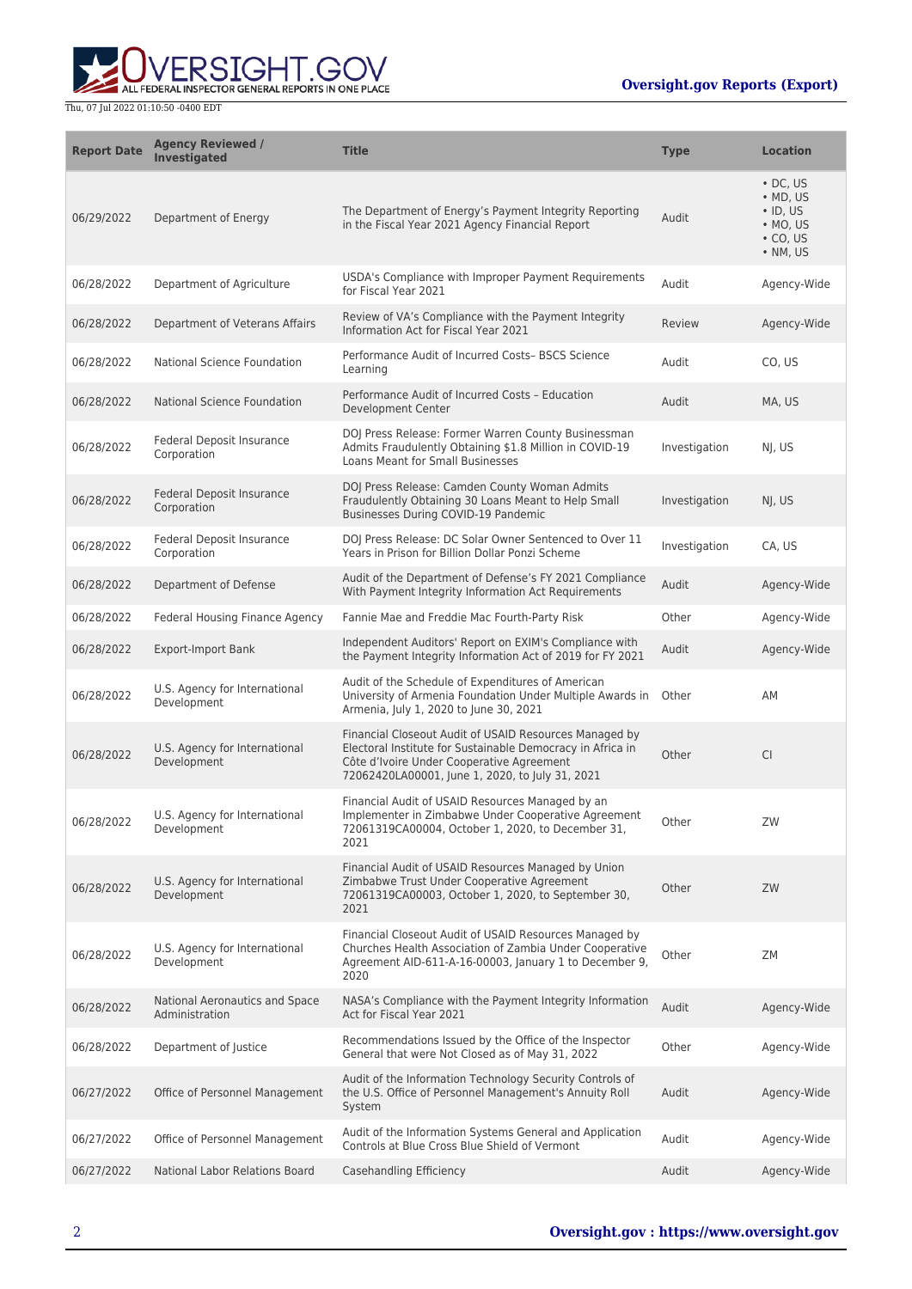ERSIGHT.GOV ALL FEDERAL INSPECTOR GENERAL REPORTS IN ONE PLACE

| <b>Report Date</b> | <b>Agency Reviewed /</b><br><b>Investigated</b>  | <b>Title</b>                                                                                                                                                                                                         | <b>Type</b>   | <b>Location</b>                                                                                        |
|--------------------|--------------------------------------------------|----------------------------------------------------------------------------------------------------------------------------------------------------------------------------------------------------------------------|---------------|--------------------------------------------------------------------------------------------------------|
| 06/29/2022         | Department of Energy                             | The Department of Energy's Payment Integrity Reporting<br>in the Fiscal Year 2021 Agency Financial Report                                                                                                            | Audit         | $\cdot$ DC, US<br>$\bullet$ MD, US<br>$\cdot$ ID, US<br>$\bullet$ MO, US<br>$\cdot$ CO, US<br>• NM, US |
| 06/28/2022         | Department of Agriculture                        | USDA's Compliance with Improper Payment Requirements<br>for Fiscal Year 2021                                                                                                                                         | Audit         | Agency-Wide                                                                                            |
| 06/28/2022         | Department of Veterans Affairs                   | Review of VA's Compliance with the Payment Integrity<br>Information Act for Fiscal Year 2021                                                                                                                         | Review        | Agency-Wide                                                                                            |
| 06/28/2022         | National Science Foundation                      | Performance Audit of Incurred Costs- BSCS Science<br>Learning                                                                                                                                                        | Audit         | CO, US                                                                                                 |
| 06/28/2022         | <b>National Science Foundation</b>               | Performance Audit of Incurred Costs - Education<br>Development Center                                                                                                                                                | Audit         | MA, US                                                                                                 |
| 06/28/2022         | Federal Deposit Insurance<br>Corporation         | DOJ Press Release: Former Warren County Businessman<br>Admits Fraudulently Obtaining \$1.8 Million in COVID-19<br><b>Loans Meant for Small Businesses</b>                                                            | Investigation | NJ, US                                                                                                 |
| 06/28/2022         | <b>Federal Deposit Insurance</b><br>Corporation  | DOJ Press Release: Camden County Woman Admits<br>Fraudulently Obtaining 30 Loans Meant to Help Small<br>Businesses During COVID-19 Pandemic                                                                          | Investigation | NJ, US                                                                                                 |
| 06/28/2022         | <b>Federal Deposit Insurance</b><br>Corporation  | DOJ Press Release: DC Solar Owner Sentenced to Over 11<br>Years in Prison for Billion Dollar Ponzi Scheme                                                                                                            | Investigation | CA, US                                                                                                 |
| 06/28/2022         | Department of Defense                            | Audit of the Department of Defense's FY 2021 Compliance<br>With Payment Integrity Information Act Requirements                                                                                                       | Audit         | Agency-Wide                                                                                            |
| 06/28/2022         | Federal Housing Finance Agency                   | Fannie Mae and Freddie Mac Fourth-Party Risk                                                                                                                                                                         | Other         | Agency-Wide                                                                                            |
| 06/28/2022         | <b>Export-Import Bank</b>                        | Independent Auditors' Report on EXIM's Compliance with<br>the Payment Integrity Information Act of 2019 for FY 2021                                                                                                  | Audit         | Agency-Wide                                                                                            |
| 06/28/2022         | U.S. Agency for International<br>Development     | Audit of the Schedule of Expenditures of American<br>University of Armenia Foundation Under Multiple Awards in<br>Armenia, July 1, 2020 to June 30, 2021                                                             | Other         | AM                                                                                                     |
| 06/28/2022         | U.S. Agency for International<br>Development     | Financial Closeout Audit of USAID Resources Managed by<br>Electoral Institute for Sustainable Democracy in Africa in<br>Côte d'Ivoire Under Cooperative Agreement<br>72062420LA00001, June 1, 2020, to July 31, 2021 | Other         | <b>CI</b>                                                                                              |
| 06/28/2022         | U.S. Agency for International<br>Development     | Financial Audit of USAID Resources Managed by an<br>Implementer in Zimbabwe Under Cooperative Agreement<br>72061319CA00004, October 1, 2020, to December 31,<br>2021                                                 | Other         | ZW                                                                                                     |
| 06/28/2022         | U.S. Agency for International<br>Development     | Financial Audit of USAID Resources Managed by Union<br>Zimbabwe Trust Under Cooperative Agreement<br>72061319CA00003, October 1, 2020, to September 30,<br>2021                                                      | Other         | ZW                                                                                                     |
| 06/28/2022         | U.S. Agency for International<br>Development     | Financial Closeout Audit of USAID Resources Managed by<br>Churches Health Association of Zambia Under Cooperative<br>Agreement AID-611-A-16-00003, January 1 to December 9,<br>2020                                  | Other         | <b>ZM</b>                                                                                              |
| 06/28/2022         | National Aeronautics and Space<br>Administration | NASA's Compliance with the Payment Integrity Information<br>Act for Fiscal Year 2021                                                                                                                                 | Audit         | Agency-Wide                                                                                            |
| 06/28/2022         | Department of Justice                            | Recommendations Issued by the Office of the Inspector<br>General that were Not Closed as of May 31, 2022                                                                                                             | Other         | Agency-Wide                                                                                            |
| 06/27/2022         | Office of Personnel Management                   | Audit of the Information Technology Security Controls of<br>the U.S. Office of Personnel Management's Annuity Roll<br>System                                                                                         | Audit         | Agency-Wide                                                                                            |
| 06/27/2022         | Office of Personnel Management                   | Audit of the Information Systems General and Application<br>Controls at Blue Cross Blue Shield of Vermont                                                                                                            | Audit         | Agency-Wide                                                                                            |
| 06/27/2022         | National Labor Relations Board                   | Casehandling Efficiency                                                                                                                                                                                              | Audit         | Agency-Wide                                                                                            |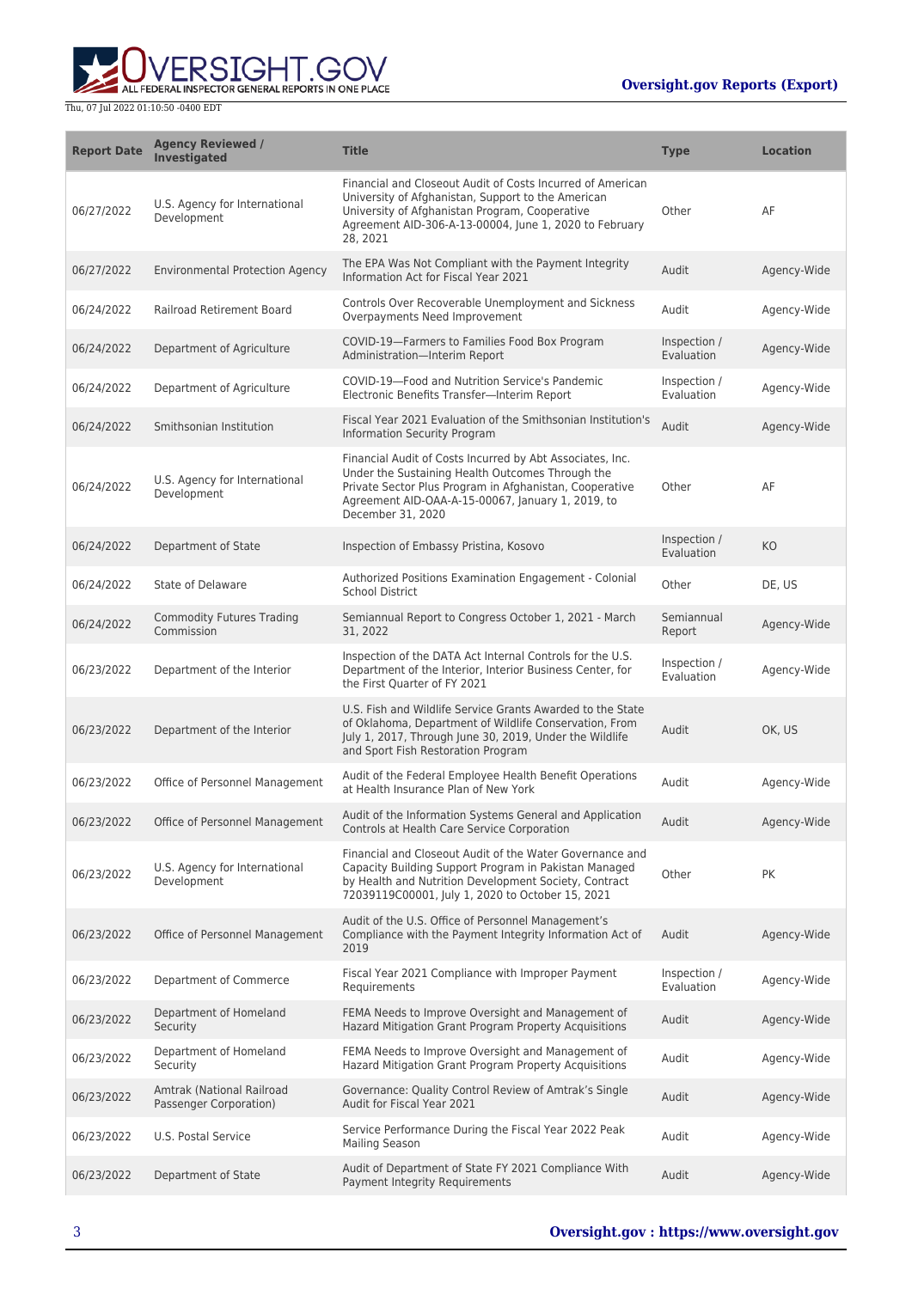

| <b>Report Date</b> | <b>Agency Reviewed /</b><br><b>Investigated</b>     | <b>Title</b>                                                                                                                                                                                                                                       | <b>Type</b>                | <b>Location</b> |
|--------------------|-----------------------------------------------------|----------------------------------------------------------------------------------------------------------------------------------------------------------------------------------------------------------------------------------------------------|----------------------------|-----------------|
| 06/27/2022         | U.S. Agency for International<br>Development        | Financial and Closeout Audit of Costs Incurred of American<br>University of Afghanistan, Support to the American<br>University of Afghanistan Program, Cooperative<br>Agreement AID-306-A-13-00004, June 1, 2020 to February<br>28, 2021           | Other                      | AF              |
| 06/27/2022         | <b>Environmental Protection Agency</b>              | The EPA Was Not Compliant with the Payment Integrity<br>Information Act for Fiscal Year 2021                                                                                                                                                       | Audit                      | Agency-Wide     |
| 06/24/2022         | <b>Railroad Retirement Board</b>                    | Controls Over Recoverable Unemployment and Sickness<br>Overpayments Need Improvement                                                                                                                                                               | Audit                      | Agency-Wide     |
| 06/24/2022         | Department of Agriculture                           | COVID-19-Farmers to Families Food Box Program<br>Administration-Interim Report                                                                                                                                                                     | Inspection /<br>Evaluation | Agency-Wide     |
| 06/24/2022         | Department of Agriculture                           | COVID-19-Food and Nutrition Service's Pandemic<br>Electronic Benefits Transfer-Interim Report                                                                                                                                                      | Inspection /<br>Evaluation | Agency-Wide     |
| 06/24/2022         | Smithsonian Institution                             | Fiscal Year 2021 Evaluation of the Smithsonian Institution's<br><b>Information Security Program</b>                                                                                                                                                | Audit                      | Agency-Wide     |
| 06/24/2022         | U.S. Agency for International<br>Development        | Financial Audit of Costs Incurred by Abt Associates, Inc.<br>Under the Sustaining Health Outcomes Through the<br>Private Sector Plus Program in Afghanistan, Cooperative<br>Agreement AID-OAA-A-15-00067, January 1, 2019, to<br>December 31, 2020 | Other                      | AF              |
| 06/24/2022         | Department of State                                 | Inspection of Embassy Pristina, Kosovo                                                                                                                                                                                                             | Inspection /<br>Evaluation | KO              |
| 06/24/2022         | State of Delaware                                   | Authorized Positions Examination Engagement - Colonial<br><b>School District</b>                                                                                                                                                                   | Other                      | DE, US          |
| 06/24/2022         | <b>Commodity Futures Trading</b><br>Commission      | Semiannual Report to Congress October 1, 2021 - March<br>31, 2022                                                                                                                                                                                  | Semiannual<br>Report       | Agency-Wide     |
| 06/23/2022         | Department of the Interior                          | Inspection of the DATA Act Internal Controls for the U.S.<br>Department of the Interior, Interior Business Center, for<br>the First Quarter of FY 2021                                                                                             | Inspection /<br>Evaluation | Agency-Wide     |
| 06/23/2022         | Department of the Interior                          | U.S. Fish and Wildlife Service Grants Awarded to the State<br>of Oklahoma, Department of Wildlife Conservation, From<br>July 1, 2017, Through June 30, 2019, Under the Wildlife<br>and Sport Fish Restoration Program                              | Audit                      | OK, US          |
| 06/23/2022         | Office of Personnel Management                      | Audit of the Federal Employee Health Benefit Operations<br>at Health Insurance Plan of New York                                                                                                                                                    | Audit                      | Agency-Wide     |
| 06/23/2022         | Office of Personnel Management                      | Audit of the Information Systems General and Application<br>Controls at Health Care Service Corporation                                                                                                                                            | Audit                      | Agency-Wide     |
| 06/23/2022         | U.S. Agency for International<br>Development        | Financial and Closeout Audit of the Water Governance and<br>Capacity Building Support Program in Pakistan Managed<br>by Health and Nutrition Development Society, Contract<br>72039119C00001, July 1, 2020 to October 15, 2021                     | Other                      | PK              |
| 06/23/2022         | Office of Personnel Management                      | Audit of the U.S. Office of Personnel Management's<br>Compliance with the Payment Integrity Information Act of<br>2019                                                                                                                             | Audit                      | Agency-Wide     |
| 06/23/2022         | Department of Commerce                              | Fiscal Year 2021 Compliance with Improper Payment<br>Requirements                                                                                                                                                                                  | Inspection /<br>Evaluation | Agency-Wide     |
| 06/23/2022         | Department of Homeland<br>Security                  | FEMA Needs to Improve Oversight and Management of<br>Hazard Mitigation Grant Program Property Acquisitions                                                                                                                                         | Audit                      | Agency-Wide     |
| 06/23/2022         | Department of Homeland<br>Security                  | FEMA Needs to Improve Oversight and Management of<br>Hazard Mitigation Grant Program Property Acquisitions                                                                                                                                         | Audit                      | Agency-Wide     |
| 06/23/2022         | Amtrak (National Railroad<br>Passenger Corporation) | Governance: Quality Control Review of Amtrak's Single<br>Audit for Fiscal Year 2021                                                                                                                                                                | Audit                      | Agency-Wide     |
| 06/23/2022         | U.S. Postal Service                                 | Service Performance During the Fiscal Year 2022 Peak<br><b>Mailing Season</b>                                                                                                                                                                      | Audit                      | Agency-Wide     |
| 06/23/2022         | Department of State                                 | Audit of Department of State FY 2021 Compliance With<br>Payment Integrity Requirements                                                                                                                                                             | Audit                      | Agency-Wide     |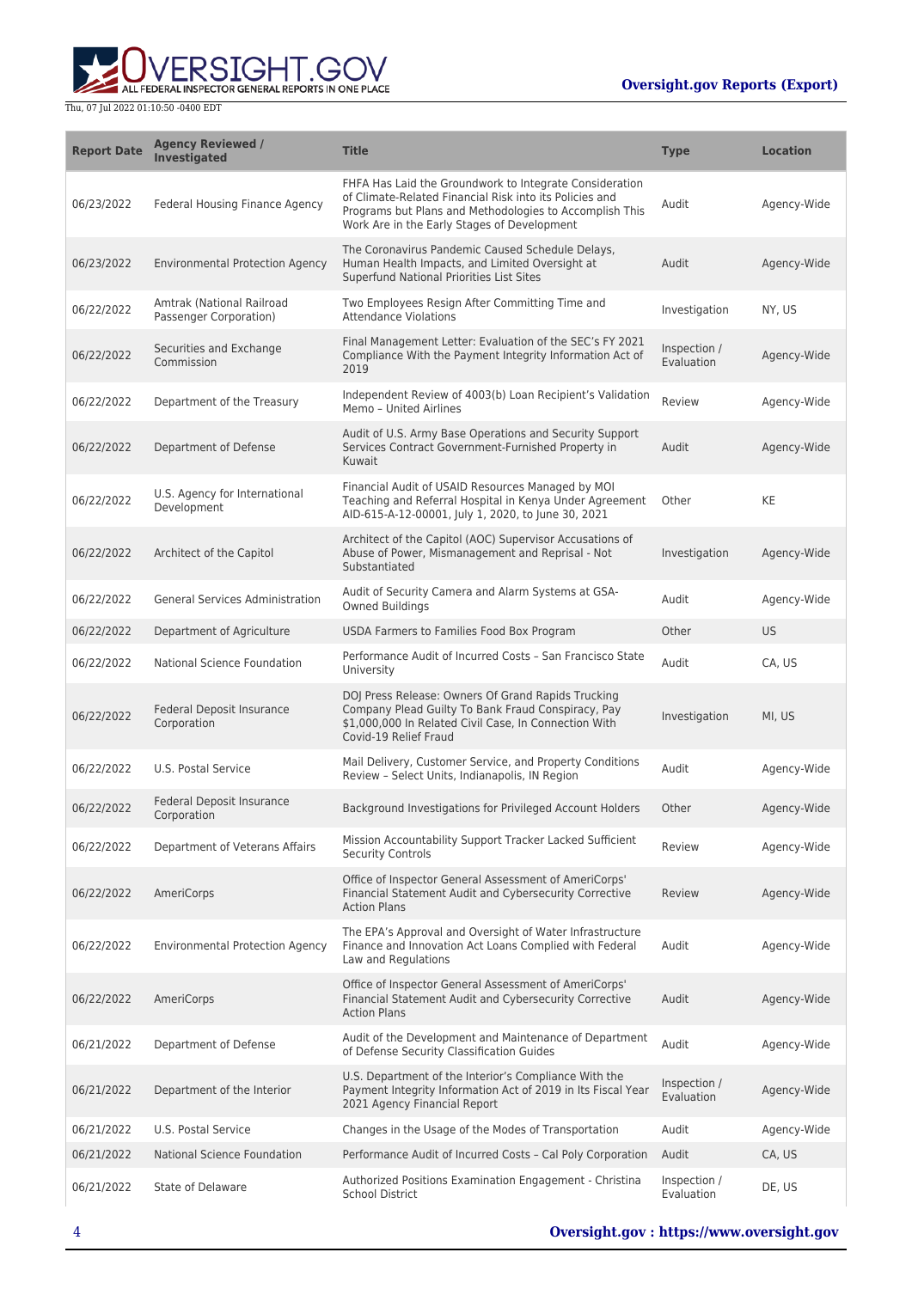**WERSIGHT.GOV** 

| <b>Report Date</b> | <b>Agency Reviewed /</b><br><b>Investigated</b>     | <b>Title</b>                                                                                                                                                                                                                 | <b>Type</b>                | <b>Location</b> |
|--------------------|-----------------------------------------------------|------------------------------------------------------------------------------------------------------------------------------------------------------------------------------------------------------------------------------|----------------------------|-----------------|
| 06/23/2022         | Federal Housing Finance Agency                      | FHFA Has Laid the Groundwork to Integrate Consideration<br>of Climate-Related Financial Risk into its Policies and<br>Programs but Plans and Methodologies to Accomplish This<br>Work Are in the Early Stages of Development | Audit                      | Agency-Wide     |
| 06/23/2022         | <b>Environmental Protection Agency</b>              | The Coronavirus Pandemic Caused Schedule Delays,<br>Human Health Impacts, and Limited Oversight at<br>Superfund National Priorities List Sites                                                                               | Audit                      | Agency-Wide     |
| 06/22/2022         | Amtrak (National Railroad<br>Passenger Corporation) | Two Employees Resign After Committing Time and<br><b>Attendance Violations</b>                                                                                                                                               | Investigation              | NY, US          |
| 06/22/2022         | Securities and Exchange<br>Commission               | Final Management Letter: Evaluation of the SEC's FY 2021<br>Compliance With the Payment Integrity Information Act of<br>2019                                                                                                 | Inspection /<br>Evaluation | Agency-Wide     |
| 06/22/2022         | Department of the Treasury                          | Independent Review of 4003(b) Loan Recipient's Validation<br>Memo - United Airlines                                                                                                                                          | Review                     | Agency-Wide     |
| 06/22/2022         | Department of Defense                               | Audit of U.S. Army Base Operations and Security Support<br>Services Contract Government-Furnished Property in<br>Kuwait                                                                                                      | Audit                      | Agency-Wide     |
| 06/22/2022         | U.S. Agency for International<br>Development        | Financial Audit of USAID Resources Managed by MOI<br>Teaching and Referral Hospital in Kenya Under Agreement<br>AID-615-A-12-00001, July 1, 2020, to June 30, 2021                                                           | Other                      | KE              |
| 06/22/2022         | Architect of the Capitol                            | Architect of the Capitol (AOC) Supervisor Accusations of<br>Abuse of Power, Mismanagement and Reprisal - Not<br>Substantiated                                                                                                | Investigation              | Agency-Wide     |
| 06/22/2022         | <b>General Services Administration</b>              | Audit of Security Camera and Alarm Systems at GSA-<br><b>Owned Buildings</b>                                                                                                                                                 | Audit                      | Agency-Wide     |
| 06/22/2022         | Department of Agriculture                           | USDA Farmers to Families Food Box Program                                                                                                                                                                                    | Other                      | <b>US</b>       |
| 06/22/2022         | National Science Foundation                         | Performance Audit of Incurred Costs - San Francisco State<br>University                                                                                                                                                      | Audit                      | CA, US          |
| 06/22/2022         | Federal Deposit Insurance<br>Corporation            | DOJ Press Release: Owners Of Grand Rapids Trucking<br>Company Plead Guilty To Bank Fraud Conspiracy, Pay<br>\$1,000,000 In Related Civil Case, In Connection With<br>Covid-19 Relief Fraud                                   | Investigation              | MI, US          |
| 06/22/2022         | U.S. Postal Service                                 | Mail Delivery, Customer Service, and Property Conditions<br>Review - Select Units, Indianapolis, IN Region                                                                                                                   | Audit                      | Agency-Wide     |
| 06/22/2022         | <b>Federal Deposit Insurance</b><br>Corporation     | Background Investigations for Privileged Account Holders                                                                                                                                                                     | Other                      | Agency-Wide     |
| 06/22/2022         | Department of Veterans Affairs                      | Mission Accountability Support Tracker Lacked Sufficient<br>Security Controls                                                                                                                                                | Review                     | Agency-Wide     |
| 06/22/2022         | AmeriCorps                                          | Office of Inspector General Assessment of AmeriCorps'<br>Financial Statement Audit and Cybersecurity Corrective<br><b>Action Plans</b>                                                                                       | Review                     | Agency-Wide     |
| 06/22/2022         | <b>Environmental Protection Agency</b>              | The EPA's Approval and Oversight of Water Infrastructure<br>Finance and Innovation Act Loans Complied with Federal<br>Law and Regulations                                                                                    | Audit                      | Agency-Wide     |
| 06/22/2022         | AmeriCorps                                          | Office of Inspector General Assessment of AmeriCorps'<br>Financial Statement Audit and Cybersecurity Corrective<br><b>Action Plans</b>                                                                                       | Audit                      | Agency-Wide     |
| 06/21/2022         | Department of Defense                               | Audit of the Development and Maintenance of Department<br>of Defense Security Classification Guides                                                                                                                          | Audit                      | Agency-Wide     |
| 06/21/2022         | Department of the Interior                          | U.S. Department of the Interior's Compliance With the<br>Payment Integrity Information Act of 2019 in Its Fiscal Year<br>2021 Agency Financial Report                                                                        | Inspection /<br>Evaluation | Agency-Wide     |
| 06/21/2022         | U.S. Postal Service                                 | Changes in the Usage of the Modes of Transportation                                                                                                                                                                          | Audit                      | Agency-Wide     |
| 06/21/2022         | National Science Foundation                         | Performance Audit of Incurred Costs - Cal Poly Corporation                                                                                                                                                                   | Audit                      | CA, US          |
| 06/21/2022         | State of Delaware                                   | Authorized Positions Examination Engagement - Christina<br><b>School District</b>                                                                                                                                            | Inspection /<br>Evaluation | DE, US          |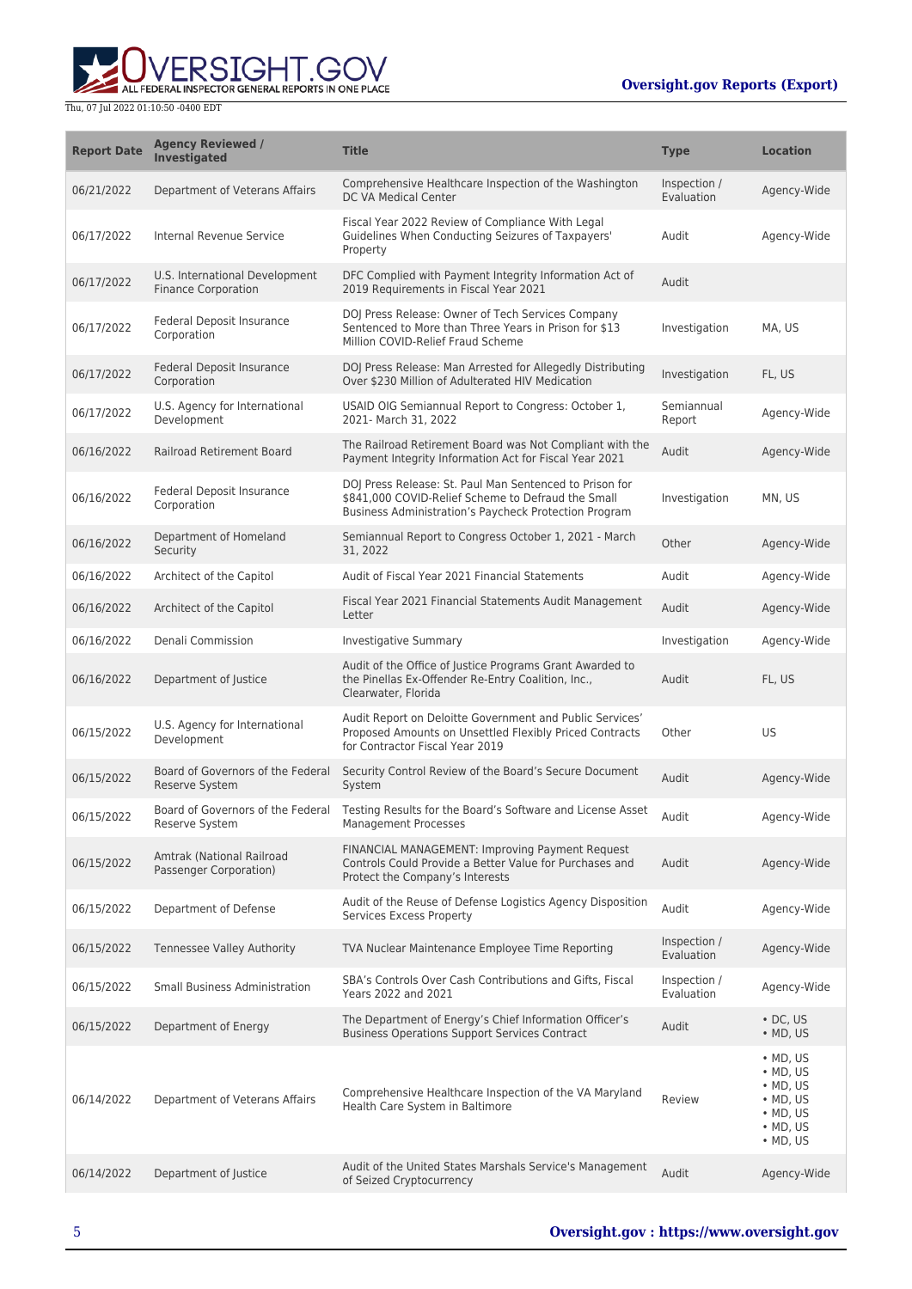**WERSIGHT.GOV** 

| <b>Report Date</b> | <b>Agency Reviewed /</b><br><b>Investigated</b>              | <b>Title</b>                                                                                                                                                           | <b>Type</b>                | <b>Location</b>                                                                                                                          |
|--------------------|--------------------------------------------------------------|------------------------------------------------------------------------------------------------------------------------------------------------------------------------|----------------------------|------------------------------------------------------------------------------------------------------------------------------------------|
| 06/21/2022         | Department of Veterans Affairs                               | Comprehensive Healthcare Inspection of the Washington<br>DC VA Medical Center                                                                                          | Inspection /<br>Evaluation | Agency-Wide                                                                                                                              |
| 06/17/2022         | Internal Revenue Service                                     | Fiscal Year 2022 Review of Compliance With Legal<br>Guidelines When Conducting Seizures of Taxpayers'<br>Property                                                      | Audit                      | Agency-Wide                                                                                                                              |
| 06/17/2022         | U.S. International Development<br><b>Finance Corporation</b> | DFC Complied with Payment Integrity Information Act of<br>2019 Requirements in Fiscal Year 2021                                                                        | Audit                      |                                                                                                                                          |
| 06/17/2022         | Federal Deposit Insurance<br>Corporation                     | DOJ Press Release: Owner of Tech Services Company<br>Sentenced to More than Three Years in Prison for \$13<br>Million COVID-Relief Fraud Scheme                        | Investigation              | MA, US                                                                                                                                   |
| 06/17/2022         | Federal Deposit Insurance<br>Corporation                     | DOJ Press Release: Man Arrested for Allegedly Distributing<br>Over \$230 Million of Adulterated HIV Medication                                                         | Investigation              | FL, US                                                                                                                                   |
| 06/17/2022         | U.S. Agency for International<br>Development                 | USAID OIG Semiannual Report to Congress: October 1,<br>2021- March 31, 2022                                                                                            | Semiannual<br>Report       | Agency-Wide                                                                                                                              |
| 06/16/2022         | Railroad Retirement Board                                    | The Railroad Retirement Board was Not Compliant with the<br>Payment Integrity Information Act for Fiscal Year 2021                                                     | Audit                      | Agency-Wide                                                                                                                              |
| 06/16/2022         | Federal Deposit Insurance<br>Corporation                     | DOJ Press Release: St. Paul Man Sentenced to Prison for<br>\$841,000 COVID-Relief Scheme to Defraud the Small<br>Business Administration's Paycheck Protection Program | Investigation              | MN, US                                                                                                                                   |
| 06/16/2022         | Department of Homeland<br>Security                           | Semiannual Report to Congress October 1, 2021 - March<br>31, 2022                                                                                                      | Other                      | Agency-Wide                                                                                                                              |
| 06/16/2022         | Architect of the Capitol                                     | Audit of Fiscal Year 2021 Financial Statements                                                                                                                         | Audit                      | Agency-Wide                                                                                                                              |
| 06/16/2022         | Architect of the Capitol                                     | Fiscal Year 2021 Financial Statements Audit Management<br>Letter                                                                                                       | Audit                      | Agency-Wide                                                                                                                              |
| 06/16/2022         | Denali Commission                                            | Investigative Summary                                                                                                                                                  | Investigation              | Agency-Wide                                                                                                                              |
| 06/16/2022         | Department of Justice                                        | Audit of the Office of Justice Programs Grant Awarded to<br>the Pinellas Ex-Offender Re-Entry Coalition, Inc.,<br>Clearwater, Florida                                  | Audit                      | FL, US                                                                                                                                   |
| 06/15/2022         | U.S. Agency for International<br>Development                 | Audit Report on Deloitte Government and Public Services'<br>Proposed Amounts on Unsettled Flexibly Priced Contracts<br>for Contractor Fiscal Year 2019                 | Other                      | US                                                                                                                                       |
| 06/15/2022         | Board of Governors of the Federal<br><b>Reserve System</b>   | Security Control Review of the Board's Secure Document<br>System                                                                                                       | Audit                      | Agency-Wide                                                                                                                              |
| 06/15/2022         | Board of Governors of the Federal<br>Reserve System          | Testing Results for the Board's Software and License Asset<br>Management Processes                                                                                     | Audit                      | Agency-Wide                                                                                                                              |
| 06/15/2022         | Amtrak (National Railroad<br>Passenger Corporation)          | FINANCIAL MANAGEMENT: Improving Payment Request<br>Controls Could Provide a Better Value for Purchases and<br>Protect the Company's Interests                          | Audit                      | Agency-Wide                                                                                                                              |
| 06/15/2022         | Department of Defense                                        | Audit of the Reuse of Defense Logistics Agency Disposition<br>Services Excess Property                                                                                 | Audit                      | Agency-Wide                                                                                                                              |
| 06/15/2022         | Tennessee Valley Authority                                   | TVA Nuclear Maintenance Employee Time Reporting                                                                                                                        | Inspection /<br>Evaluation | Agency-Wide                                                                                                                              |
| 06/15/2022         | <b>Small Business Administration</b>                         | SBA's Controls Over Cash Contributions and Gifts, Fiscal<br>Years 2022 and 2021                                                                                        | Inspection /<br>Evaluation | Agency-Wide                                                                                                                              |
| 06/15/2022         | Department of Energy                                         | The Department of Energy's Chief Information Officer's<br><b>Business Operations Support Services Contract</b>                                                         | Audit                      | $\cdot$ DC, US<br>$\bullet$ MD, US                                                                                                       |
| 06/14/2022         | Department of Veterans Affairs                               | Comprehensive Healthcare Inspection of the VA Maryland<br>Health Care System in Baltimore                                                                              | Review                     | $\bullet$ MD, US<br>$\bullet$ MD, US<br>$\bullet$ MD, US<br>$\bullet$ MD, US<br>$\bullet$ MD, US<br>$\bullet$ MD, US<br>$\bullet$ MD, US |
| 06/14/2022         | Department of Justice                                        | Audit of the United States Marshals Service's Management<br>of Seized Cryptocurrency                                                                                   | Audit                      | Agency-Wide                                                                                                                              |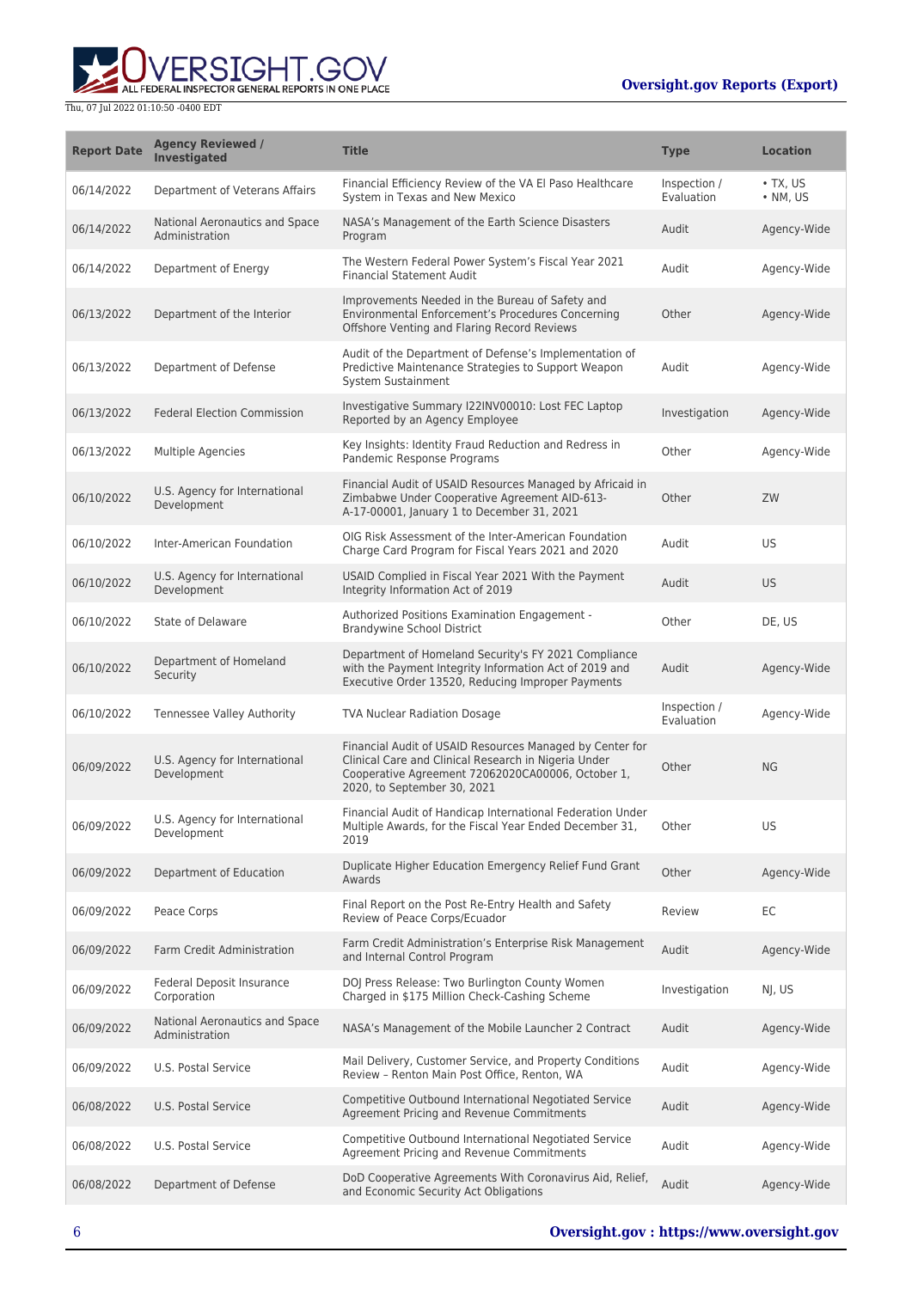

| <b>Report Date</b> | <b>Agency Reviewed /</b><br><b>Investigated</b>  | <b>Title</b>                                                                                                                                                                                         | <b>Type</b>                | <b>Location</b>                    |
|--------------------|--------------------------------------------------|------------------------------------------------------------------------------------------------------------------------------------------------------------------------------------------------------|----------------------------|------------------------------------|
| 06/14/2022         | Department of Veterans Affairs                   | Financial Efficiency Review of the VA El Paso Healthcare<br>System in Texas and New Mexico                                                                                                           | Inspection /<br>Evaluation | $\cdot$ TX, US<br>$\bullet$ NM, US |
| 06/14/2022         | National Aeronautics and Space<br>Administration | NASA's Management of the Earth Science Disasters<br>Program                                                                                                                                          | Audit                      | Agency-Wide                        |
| 06/14/2022         | Department of Energy                             | The Western Federal Power System's Fiscal Year 2021<br><b>Financial Statement Audit</b>                                                                                                              | Audit                      | Agency-Wide                        |
| 06/13/2022         | Department of the Interior                       | Improvements Needed in the Bureau of Safety and<br>Environmental Enforcement's Procedures Concerning<br>Offshore Venting and Flaring Record Reviews                                                  | Other                      | Agency-Wide                        |
| 06/13/2022         | Department of Defense                            | Audit of the Department of Defense's Implementation of<br>Predictive Maintenance Strategies to Support Weapon<br>System Sustainment                                                                  | Audit                      | Agency-Wide                        |
| 06/13/2022         | <b>Federal Election Commission</b>               | Investigative Summary I22INV00010: Lost FEC Laptop<br>Reported by an Agency Employee                                                                                                                 | Investigation              | Agency-Wide                        |
| 06/13/2022         | Multiple Agencies                                | Key Insights: Identity Fraud Reduction and Redress in<br>Pandemic Response Programs                                                                                                                  | Other                      | Agency-Wide                        |
| 06/10/2022         | U.S. Agency for International<br>Development     | Financial Audit of USAID Resources Managed by Africaid in<br>Zimbabwe Under Cooperative Agreement AID-613-<br>A-17-00001, January 1 to December 31, 2021                                             | Other                      | ZW                                 |
| 06/10/2022         | Inter-American Foundation                        | OIG Risk Assessment of the Inter-American Foundation<br>Charge Card Program for Fiscal Years 2021 and 2020                                                                                           | Audit                      | <b>US</b>                          |
| 06/10/2022         | U.S. Agency for International<br>Development     | USAID Complied in Fiscal Year 2021 With the Payment<br>Integrity Information Act of 2019                                                                                                             | Audit                      | <b>US</b>                          |
| 06/10/2022         | State of Delaware                                | Authorized Positions Examination Engagement -<br><b>Brandywine School District</b>                                                                                                                   | Other                      | DE, US                             |
| 06/10/2022         | Department of Homeland<br>Security               | Department of Homeland Security's FY 2021 Compliance<br>with the Payment Integrity Information Act of 2019 and<br>Executive Order 13520, Reducing Improper Payments                                  | Audit                      | Agency-Wide                        |
| 06/10/2022         | Tennessee Valley Authority                       | <b>TVA Nuclear Radiation Dosage</b>                                                                                                                                                                  | Inspection /<br>Evaluation | Agency-Wide                        |
| 06/09/2022         | U.S. Agency for International<br>Development     | Financial Audit of USAID Resources Managed by Center for<br>Clinical Care and Clinical Research in Nigeria Under<br>Cooperative Agreement 72062020CA00006, October 1,<br>2020, to September 30, 2021 | Other                      | <b>NG</b>                          |
| 06/09/2022         | U.S. Agency for International<br>Development     | Financial Audit of Handicap International Federation Under<br>Multiple Awards, for the Fiscal Year Ended December 31,<br>2019                                                                        | Other                      | US                                 |
| 06/09/2022         | Department of Education                          | Duplicate Higher Education Emergency Relief Fund Grant<br>Awards                                                                                                                                     | Other                      | Agency-Wide                        |
| 06/09/2022         | Peace Corps                                      | Final Report on the Post Re-Entry Health and Safety<br>Review of Peace Corps/Ecuador                                                                                                                 | Review                     | EC                                 |
| 06/09/2022         | Farm Credit Administration                       | Farm Credit Administration's Enterprise Risk Management<br>and Internal Control Program                                                                                                              | Audit                      | Agency-Wide                        |
| 06/09/2022         | Federal Deposit Insurance<br>Corporation         | DOJ Press Release: Two Burlington County Women<br>Charged in \$175 Million Check-Cashing Scheme                                                                                                      | Investigation              | NI, US                             |
| 06/09/2022         | National Aeronautics and Space<br>Administration | NASA's Management of the Mobile Launcher 2 Contract                                                                                                                                                  | Audit                      | Agency-Wide                        |
| 06/09/2022         | U.S. Postal Service                              | Mail Delivery, Customer Service, and Property Conditions<br>Review - Renton Main Post Office, Renton, WA                                                                                             | Audit                      | Agency-Wide                        |
| 06/08/2022         | U.S. Postal Service                              | Competitive Outbound International Negotiated Service<br>Agreement Pricing and Revenue Commitments                                                                                                   | Audit                      | Agency-Wide                        |
| 06/08/2022         | U.S. Postal Service                              | Competitive Outbound International Negotiated Service<br>Agreement Pricing and Revenue Commitments                                                                                                   | Audit                      | Agency-Wide                        |
| 06/08/2022         | Department of Defense                            | DoD Cooperative Agreements With Coronavirus Aid, Relief,<br>and Economic Security Act Obligations                                                                                                    | Audit                      | Agency-Wide                        |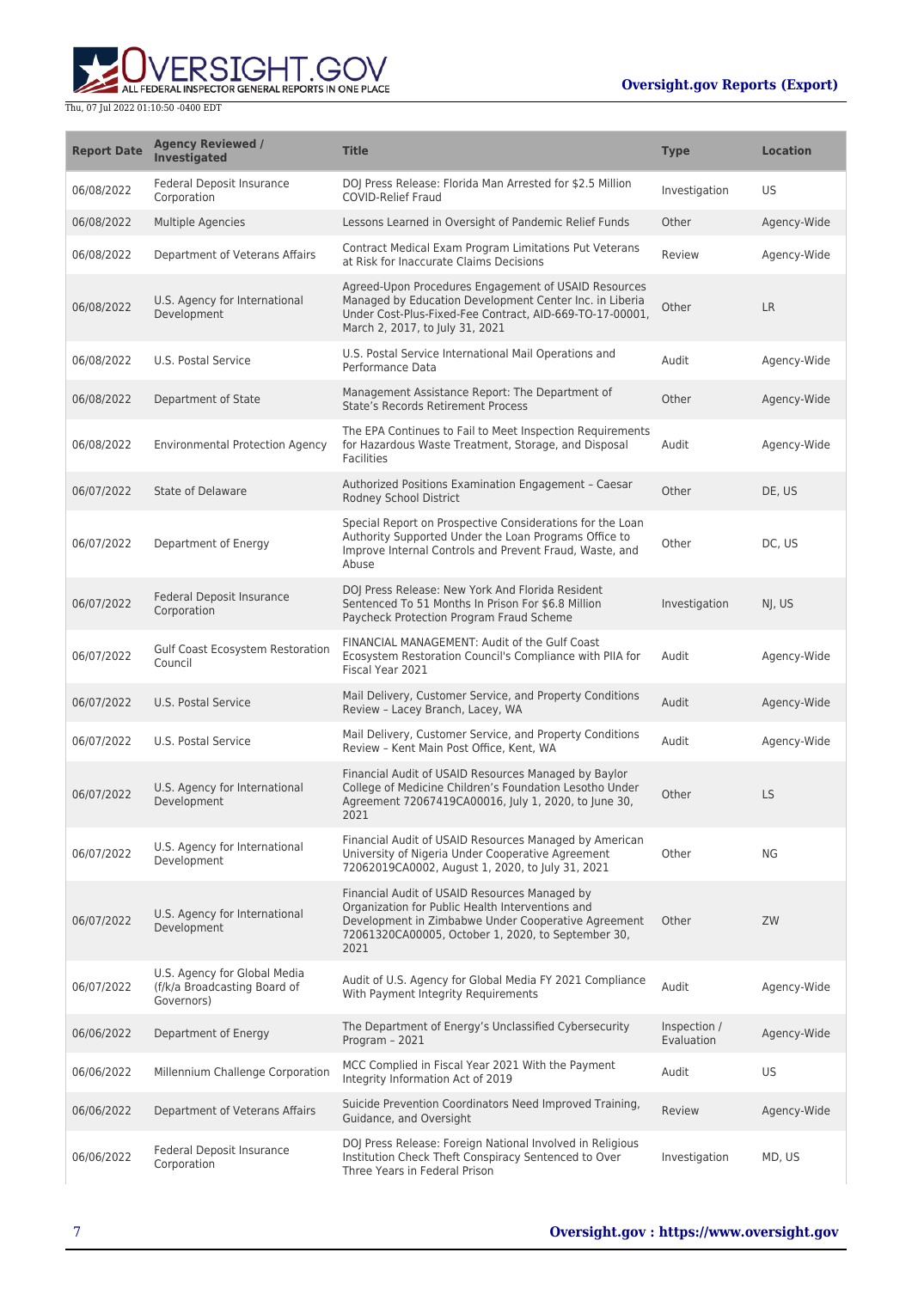

| <b>Report Date</b> | <b>Agency Reviewed /</b><br><b>Investigated</b>                            | <b>Title</b>                                                                                                                                                                                                           | <b>Type</b>                | <b>Location</b> |
|--------------------|----------------------------------------------------------------------------|------------------------------------------------------------------------------------------------------------------------------------------------------------------------------------------------------------------------|----------------------------|-----------------|
| 06/08/2022         | <b>Federal Deposit Insurance</b><br>Corporation                            | DOJ Press Release: Florida Man Arrested for \$2.5 Million<br><b>COVID-Relief Fraud</b>                                                                                                                                 | Investigation              | US              |
| 06/08/2022         | <b>Multiple Agencies</b>                                                   | Lessons Learned in Oversight of Pandemic Relief Funds                                                                                                                                                                  | Other                      | Agency-Wide     |
| 06/08/2022         | Department of Veterans Affairs                                             | Contract Medical Exam Program Limitations Put Veterans<br>at Risk for Inaccurate Claims Decisions                                                                                                                      | Review                     | Agency-Wide     |
| 06/08/2022         | U.S. Agency for International<br>Development                               | Agreed-Upon Procedures Engagement of USAID Resources<br>Managed by Education Development Center Inc. in Liberia<br>Under Cost-Plus-Fixed-Fee Contract, AID-669-TO-17-00001,<br>March 2, 2017, to July 31, 2021         | Other                      | LR              |
| 06/08/2022         | U.S. Postal Service                                                        | U.S. Postal Service International Mail Operations and<br>Performance Data                                                                                                                                              | Audit                      | Agency-Wide     |
| 06/08/2022         | Department of State                                                        | Management Assistance Report: The Department of<br><b>State's Records Retirement Process</b>                                                                                                                           | Other                      | Agency-Wide     |
| 06/08/2022         | <b>Environmental Protection Agency</b>                                     | The EPA Continues to Fail to Meet Inspection Requirements<br>for Hazardous Waste Treatment, Storage, and Disposal<br><b>Facilities</b>                                                                                 | Audit                      | Agency-Wide     |
| 06/07/2022         | State of Delaware                                                          | Authorized Positions Examination Engagement - Caesar<br>Rodney School District                                                                                                                                         | Other                      | DE, US          |
| 06/07/2022         | Department of Energy                                                       | Special Report on Prospective Considerations for the Loan<br>Authority Supported Under the Loan Programs Office to<br>Improve Internal Controls and Prevent Fraud, Waste, and<br>Abuse                                 | Other                      | DC, US          |
| 06/07/2022         | Federal Deposit Insurance<br>Corporation                                   | DOJ Press Release: New York And Florida Resident<br>Sentenced To 51 Months In Prison For \$6.8 Million<br>Paycheck Protection Program Fraud Scheme                                                                     | Investigation              | NJ, US          |
| 06/07/2022         | Gulf Coast Ecosystem Restoration<br>Council                                | FINANCIAL MANAGEMENT: Audit of the Gulf Coast<br>Ecosystem Restoration Council's Compliance with PIIA for<br>Fiscal Year 2021                                                                                          | Audit                      | Agency-Wide     |
| 06/07/2022         | U.S. Postal Service                                                        | Mail Delivery, Customer Service, and Property Conditions<br>Review - Lacey Branch, Lacey, WA                                                                                                                           | Audit                      | Agency-Wide     |
| 06/07/2022         | U.S. Postal Service                                                        | Mail Delivery, Customer Service, and Property Conditions<br>Review - Kent Main Post Office, Kent, WA                                                                                                                   | Audit                      | Agency-Wide     |
| 06/07/2022         | U.S. Agency for International<br>Development                               | Financial Audit of USAID Resources Managed by Baylor<br>College of Medicine Children's Foundation Lesotho Under<br>Agreement 72067419CA00016, July 1, 2020, to June 30,<br>2021                                        | Other                      | <b>LS</b>       |
| 06/07/2022         | U.S. Agency for International<br>Development                               | Financial Audit of USAID Resources Managed by American<br>University of Nigeria Under Cooperative Agreement<br>72062019CA0002, August 1, 2020, to July 31, 2021                                                        | Other                      | <b>NG</b>       |
| 06/07/2022         | U.S. Agency for International<br>Development                               | Financial Audit of USAID Resources Managed by<br>Organization for Public Health Interventions and<br>Development in Zimbabwe Under Cooperative Agreement<br>72061320CA00005, October 1, 2020, to September 30,<br>2021 | Other                      | ZW              |
| 06/07/2022         | U.S. Agency for Global Media<br>(f/k/a Broadcasting Board of<br>Governors) | Audit of U.S. Agency for Global Media FY 2021 Compliance<br>With Payment Integrity Requirements                                                                                                                        | Audit                      | Agency-Wide     |
| 06/06/2022         | Department of Energy                                                       | The Department of Energy's Unclassified Cybersecurity<br>Program - 2021                                                                                                                                                | Inspection /<br>Evaluation | Agency-Wide     |
| 06/06/2022         | Millennium Challenge Corporation                                           | MCC Complied in Fiscal Year 2021 With the Payment<br>Integrity Information Act of 2019                                                                                                                                 | Audit                      | US              |
| 06/06/2022         | Department of Veterans Affairs                                             | Suicide Prevention Coordinators Need Improved Training,<br>Guidance, and Oversight                                                                                                                                     | Review                     | Agency-Wide     |
| 06/06/2022         | Federal Deposit Insurance<br>Corporation                                   | DOJ Press Release: Foreign National Involved in Religious<br>Institution Check Theft Conspiracy Sentenced to Over<br>Three Years in Federal Prison                                                                     | Investigation              | MD, US          |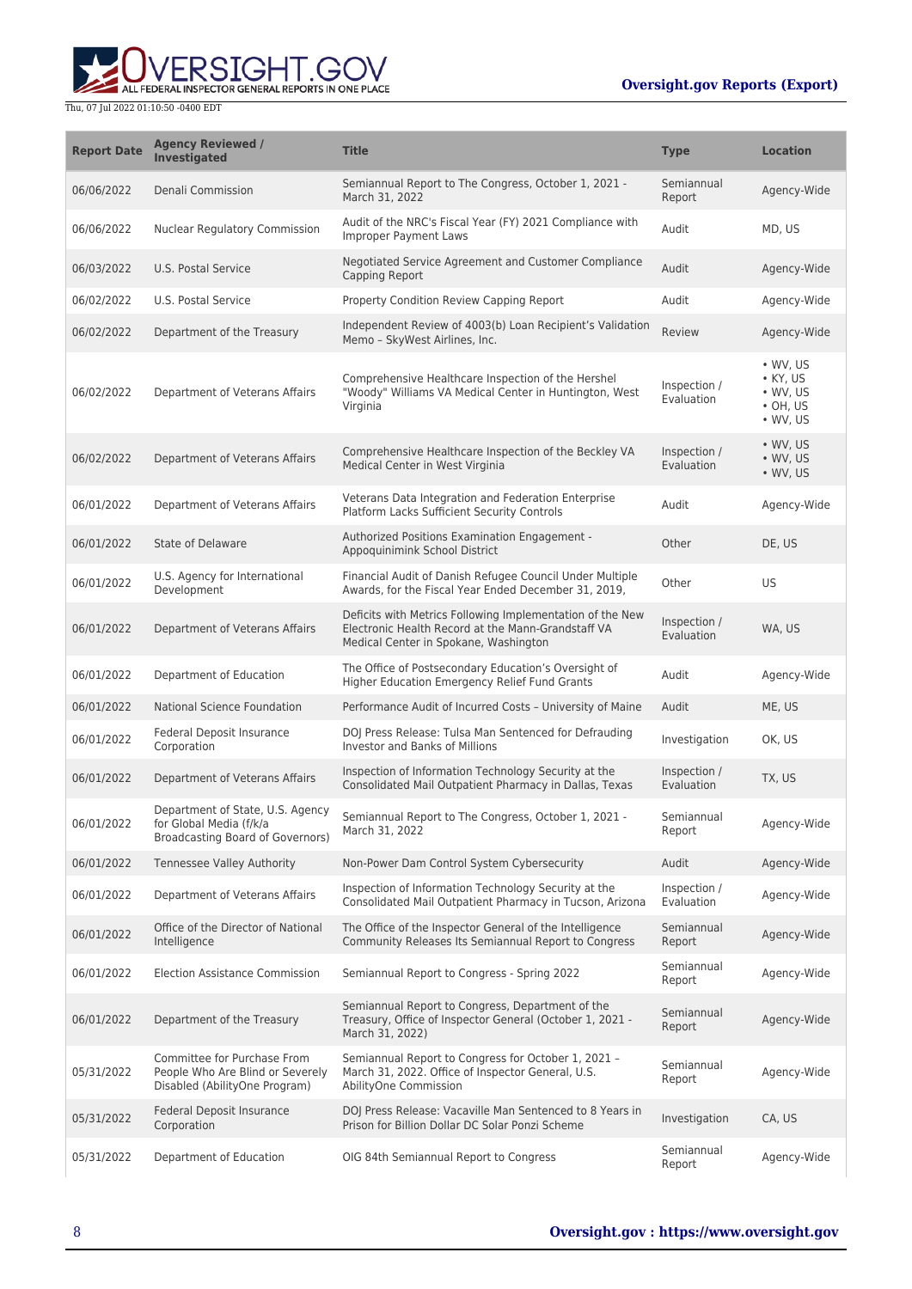

| <b>Report Date</b> | <b>Agency Reviewed /</b><br><b>Investigated</b>                                                  | <b>Title</b>                                                                                                                                             | <b>Type</b>                | <b>Location</b>                                                                    |
|--------------------|--------------------------------------------------------------------------------------------------|----------------------------------------------------------------------------------------------------------------------------------------------------------|----------------------------|------------------------------------------------------------------------------------|
| 06/06/2022         | Denali Commission                                                                                | Semiannual Report to The Congress, October 1, 2021 -<br>March 31, 2022                                                                                   | Semiannual<br>Report       | Agency-Wide                                                                        |
| 06/06/2022         | <b>Nuclear Regulatory Commission</b>                                                             | Audit of the NRC's Fiscal Year (FY) 2021 Compliance with<br><b>Improper Payment Laws</b>                                                                 | Audit                      | MD, US                                                                             |
| 06/03/2022         | U.S. Postal Service                                                                              | Negotiated Service Agreement and Customer Compliance<br>Capping Report                                                                                   | Audit                      | Agency-Wide                                                                        |
| 06/02/2022         | U.S. Postal Service                                                                              | Property Condition Review Capping Report                                                                                                                 | Audit                      | Agency-Wide                                                                        |
| 06/02/2022         | Department of the Treasury                                                                       | Independent Review of 4003(b) Loan Recipient's Validation<br>Memo - SkyWest Airlines, Inc.                                                               | Review                     | Agency-Wide                                                                        |
| 06/02/2022         | Department of Veterans Affairs                                                                   | Comprehensive Healthcare Inspection of the Hershel<br>"Woody" Williams VA Medical Center in Huntington, West<br>Virginia                                 | Inspection /<br>Evaluation | • WV, US<br>$\bullet$ KY, US<br>$\cdot$ WV, US<br>$\cdot$ OH, US<br>$\cdot$ WV, US |
| 06/02/2022         | Department of Veterans Affairs                                                                   | Comprehensive Healthcare Inspection of the Beckley VA<br>Medical Center in West Virginia                                                                 | Inspection /<br>Evaluation | $\bullet$ WV, US<br>$\bullet$ WV, US<br>• WV, US                                   |
| 06/01/2022         | Department of Veterans Affairs                                                                   | Veterans Data Integration and Federation Enterprise<br>Platform Lacks Sufficient Security Controls                                                       | Audit                      | Agency-Wide                                                                        |
| 06/01/2022         | <b>State of Delaware</b>                                                                         | Authorized Positions Examination Engagement -<br>Appoquinimink School District                                                                           | Other                      | DE, US                                                                             |
| 06/01/2022         | U.S. Agency for International<br>Development                                                     | Financial Audit of Danish Refugee Council Under Multiple<br>Awards, for the Fiscal Year Ended December 31, 2019,                                         | Other                      | US                                                                                 |
| 06/01/2022         | Department of Veterans Affairs                                                                   | Deficits with Metrics Following Implementation of the New<br>Electronic Health Record at the Mann-Grandstaff VA<br>Medical Center in Spokane, Washington | Inspection /<br>Evaluation | WA, US                                                                             |
| 06/01/2022         | Department of Education                                                                          | The Office of Postsecondary Education's Oversight of<br>Higher Education Emergency Relief Fund Grants                                                    | Audit                      | Agency-Wide                                                                        |
| 06/01/2022         | <b>National Science Foundation</b>                                                               | Performance Audit of Incurred Costs - University of Maine                                                                                                | Audit                      | ME, US                                                                             |
| 06/01/2022         | Federal Deposit Insurance<br>Corporation                                                         | DOJ Press Release: Tulsa Man Sentenced for Defrauding<br>Investor and Banks of Millions                                                                  | Investigation              | OK, US                                                                             |
| 06/01/2022         | Department of Veterans Affairs                                                                   | Inspection of Information Technology Security at the<br>Consolidated Mail Outpatient Pharmacy in Dallas, Texas                                           | Inspection /<br>Evaluation | TX, US                                                                             |
| 06/01/2022         | Department of State, U.S. Agency<br>for Global Media (f/k/a<br>Broadcasting Board of Governors)  | Semiannual Report to The Congress, October 1, 2021 -<br>March 31, 2022                                                                                   | Semiannual<br>Report       | Agency-Wide                                                                        |
| 06/01/2022         | <b>Tennessee Valley Authority</b>                                                                | Non-Power Dam Control System Cybersecurity                                                                                                               | Audit                      | Agency-Wide                                                                        |
| 06/01/2022         | Department of Veterans Affairs                                                                   | Inspection of Information Technology Security at the<br>Consolidated Mail Outpatient Pharmacy in Tucson, Arizona                                         | Inspection /<br>Evaluation | Agency-Wide                                                                        |
| 06/01/2022         | Office of the Director of National<br>Intelligence                                               | The Office of the Inspector General of the Intelligence<br>Community Releases Its Semiannual Report to Congress                                          | Semiannual<br>Report       | Agency-Wide                                                                        |
| 06/01/2022         | <b>Election Assistance Commission</b>                                                            | Semiannual Report to Congress - Spring 2022                                                                                                              | Semiannual<br>Report       | Agency-Wide                                                                        |
| 06/01/2022         | Department of the Treasury                                                                       | Semiannual Report to Congress, Department of the<br>Treasury, Office of Inspector General (October 1, 2021 -<br>March 31, 2022)                          | Semiannual<br>Report       | Agency-Wide                                                                        |
| 05/31/2022         | Committee for Purchase From<br>People Who Are Blind or Severely<br>Disabled (AbilityOne Program) | Semiannual Report to Congress for October 1, 2021 -<br>March 31, 2022. Office of Inspector General, U.S.<br>AbilityOne Commission                        | Semiannual<br>Report       | Agency-Wide                                                                        |
| 05/31/2022         | Federal Deposit Insurance<br>Corporation                                                         | DOJ Press Release: Vacaville Man Sentenced to 8 Years in<br>Prison for Billion Dollar DC Solar Ponzi Scheme                                              | Investigation              | CA, US                                                                             |
| 05/31/2022         | Department of Education                                                                          | OIG 84th Semiannual Report to Congress                                                                                                                   | Semiannual<br>Report       | Agency-Wide                                                                        |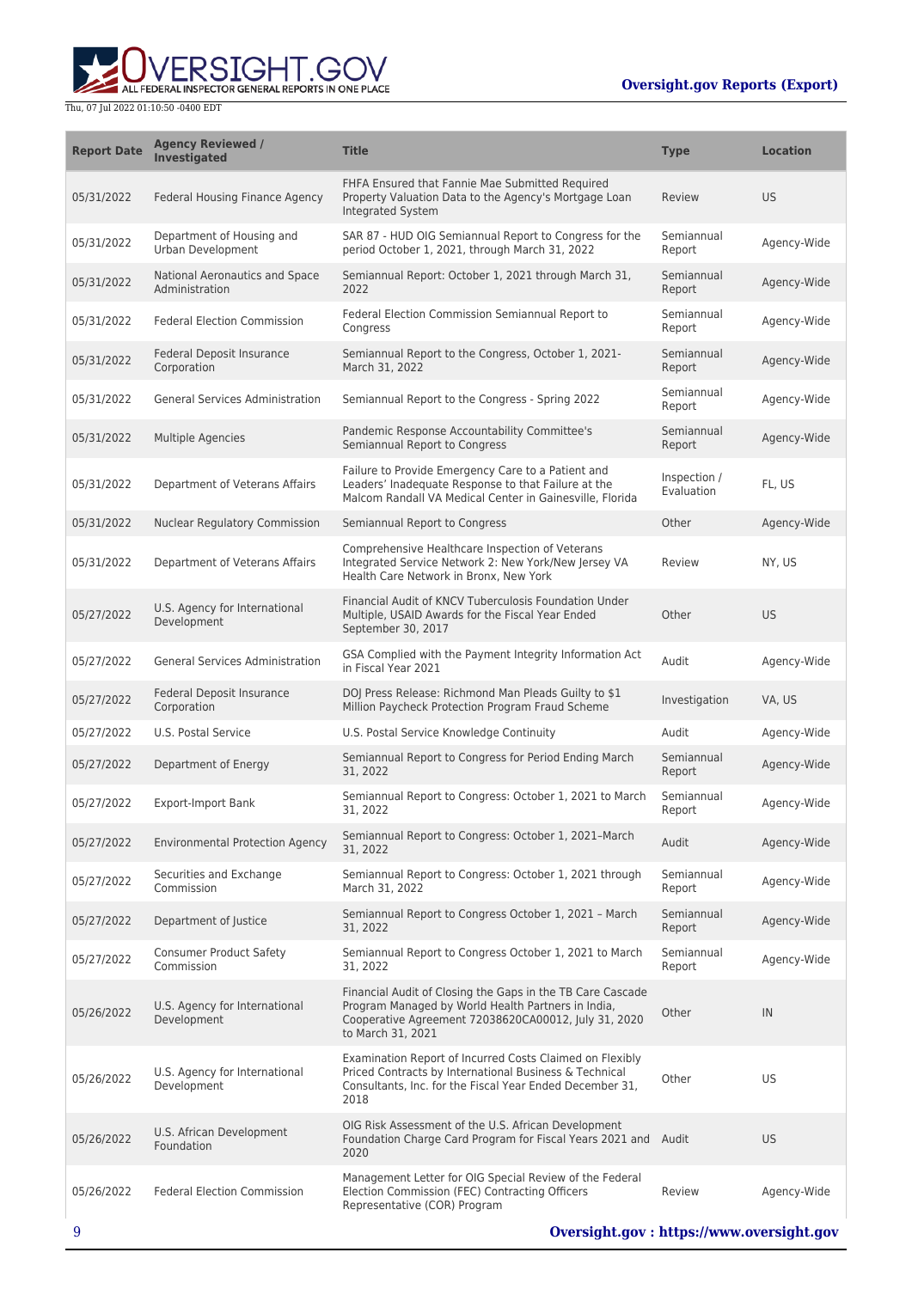

| <b>Report Date</b> | <b>Agency Reviewed /</b><br><b>Investigated</b>  | <b>Title</b>                                                                                                                                                                                  | <b>Type</b>                | <b>Location</b> |
|--------------------|--------------------------------------------------|-----------------------------------------------------------------------------------------------------------------------------------------------------------------------------------------------|----------------------------|-----------------|
| 05/31/2022         | Federal Housing Finance Agency                   | FHFA Ensured that Fannie Mae Submitted Required<br>Property Valuation Data to the Agency's Mortgage Loan<br>Integrated System                                                                 | Review                     | <b>US</b>       |
| 05/31/2022         | Department of Housing and<br>Urban Development   | SAR 87 - HUD OIG Semiannual Report to Congress for the<br>period October 1, 2021, through March 31, 2022                                                                                      | Semiannual<br>Report       | Agency-Wide     |
| 05/31/2022         | National Aeronautics and Space<br>Administration | Semiannual Report: October 1, 2021 through March 31,<br>2022                                                                                                                                  | Semiannual<br>Report       | Agency-Wide     |
| 05/31/2022         | <b>Federal Election Commission</b>               | Federal Election Commission Semiannual Report to<br>Congress                                                                                                                                  | Semiannual<br>Report       | Agency-Wide     |
| 05/31/2022         | Federal Deposit Insurance<br>Corporation         | Semiannual Report to the Congress, October 1, 2021-<br>March 31, 2022                                                                                                                         | Semiannual<br>Report       | Agency-Wide     |
| 05/31/2022         | <b>General Services Administration</b>           | Semiannual Report to the Congress - Spring 2022                                                                                                                                               | Semiannual<br>Report       | Agency-Wide     |
| 05/31/2022         | Multiple Agencies                                | Pandemic Response Accountability Committee's<br>Semiannual Report to Congress                                                                                                                 | Semiannual<br>Report       | Agency-Wide     |
| 05/31/2022         | Department of Veterans Affairs                   | Failure to Provide Emergency Care to a Patient and<br>Leaders' Inadequate Response to that Failure at the<br>Malcom Randall VA Medical Center in Gainesville, Florida                         | Inspection /<br>Evaluation | FL, US          |
| 05/31/2022         | Nuclear Regulatory Commission                    | Semiannual Report to Congress                                                                                                                                                                 | Other                      | Agency-Wide     |
| 05/31/2022         | Department of Veterans Affairs                   | Comprehensive Healthcare Inspection of Veterans<br>Integrated Service Network 2: New York/New Jersey VA<br>Health Care Network in Bronx, New York                                             | Review                     | NY, US          |
| 05/27/2022         | U.S. Agency for International<br>Development     | Financial Audit of KNCV Tuberculosis Foundation Under<br>Multiple, USAID Awards for the Fiscal Year Ended<br>September 30, 2017                                                               | Other                      | <b>US</b>       |
| 05/27/2022         | <b>General Services Administration</b>           | GSA Complied with the Payment Integrity Information Act<br>in Fiscal Year 2021                                                                                                                | Audit                      | Agency-Wide     |
| 05/27/2022         | Federal Deposit Insurance<br>Corporation         | DOJ Press Release: Richmond Man Pleads Guilty to \$1<br>Million Paycheck Protection Program Fraud Scheme                                                                                      | Investigation              | VA, US          |
| 05/27/2022         | U.S. Postal Service                              | U.S. Postal Service Knowledge Continuity                                                                                                                                                      | Audit                      | Agency-Wide     |
| 05/27/2022         | Department of Energy                             | Semiannual Report to Congress for Period Ending March<br>31, 2022                                                                                                                             | Semiannual<br>Report       | Agency-Wide     |
| 05/27/2022         | <b>Export-Import Bank</b>                        | Semiannual Report to Congress: October 1, 2021 to March<br>31, 2022                                                                                                                           | Semiannual<br>Report       | Agency-Wide     |
| 05/27/2022         | <b>Environmental Protection Agency</b>           | Semiannual Report to Congress: October 1, 2021-March<br>31, 2022                                                                                                                              | Audit                      | Agency-Wide     |
| 05/27/2022         | Securities and Exchange<br>Commission            | Semiannual Report to Congress: October 1, 2021 through<br>March 31, 2022                                                                                                                      | Semiannual<br>Report       | Agency-Wide     |
| 05/27/2022         | Department of Justice                            | Semiannual Report to Congress October 1, 2021 - March<br>31, 2022                                                                                                                             | Semiannual<br>Report       | Agency-Wide     |
| 05/27/2022         | <b>Consumer Product Safety</b><br>Commission     | Semiannual Report to Congress October 1, 2021 to March<br>31, 2022                                                                                                                            | Semiannual<br>Report       | Agency-Wide     |
| 05/26/2022         | U.S. Agency for International<br>Development     | Financial Audit of Closing the Gaps in the TB Care Cascade<br>Program Managed by World Health Partners in India,<br>Cooperative Agreement 72038620CA00012, July 31, 2020<br>to March 31, 2021 | Other                      | IN              |
| 05/26/2022         | U.S. Agency for International<br>Development     | Examination Report of Incurred Costs Claimed on Flexibly<br>Priced Contracts by International Business & Technical<br>Consultants, Inc. for the Fiscal Year Ended December 31,<br>2018        | Other                      | US              |
| 05/26/2022         | U.S. African Development<br>Foundation           | OIG Risk Assessment of the U.S. African Development<br>Foundation Charge Card Program for Fiscal Years 2021 and Audit<br>2020                                                                 |                            | <b>US</b>       |
| 05/26/2022         | <b>Federal Election Commission</b>               | Management Letter for OIG Special Review of the Federal<br>Election Commission (FEC) Contracting Officers<br>Representative (COR) Program                                                     | Review                     | Agency-Wide     |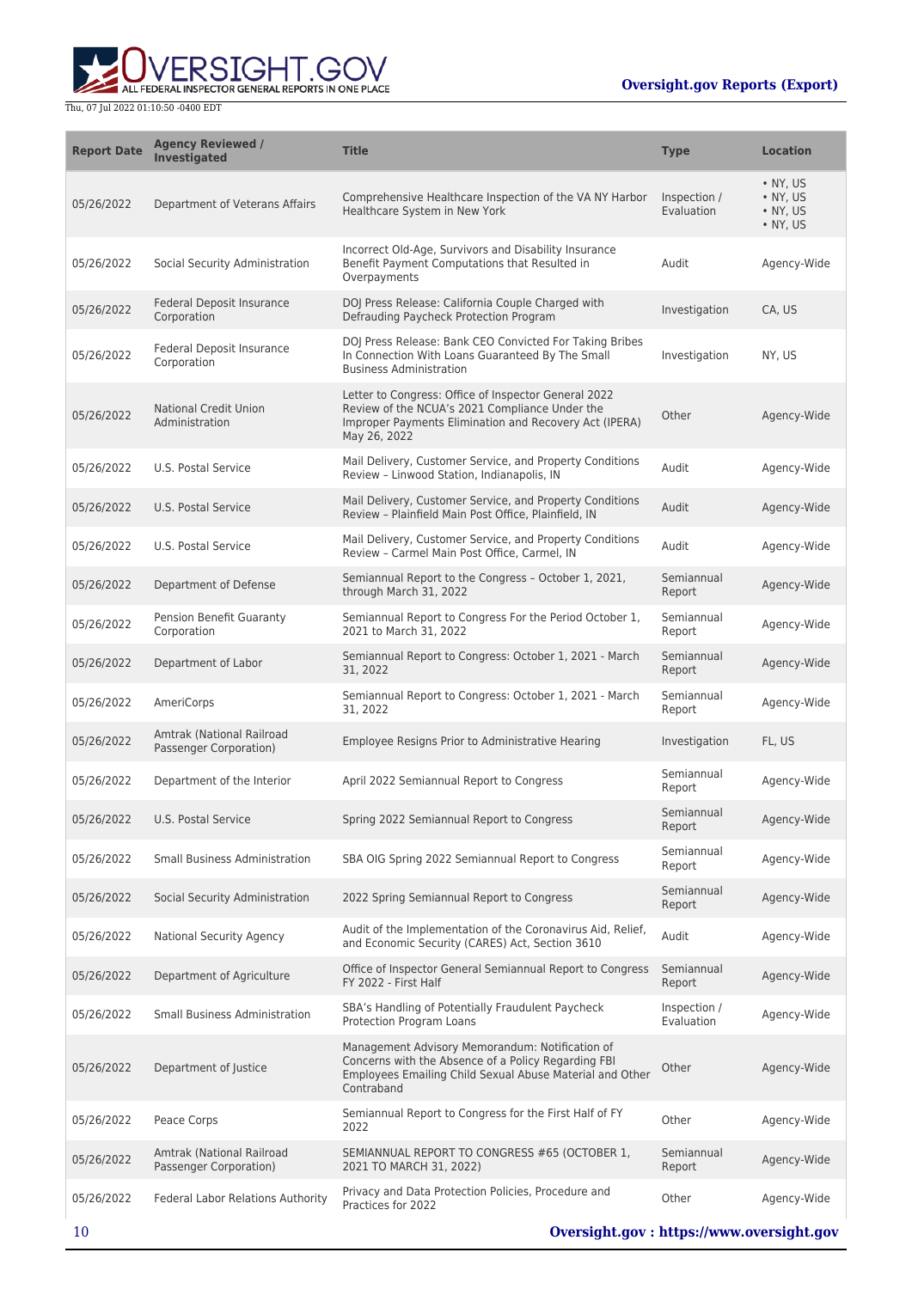ERSIGHT.GOV ALL FEDERAL INSPECTOR GENERAL REPORTS IN ONE PLACE

| <b>Report Date</b> | <b>Agency Reviewed /</b><br><b>Investigated</b>     | <b>Title</b>                                                                                                                                                                     | <b>Type</b>                | <b>Location</b>                                              |
|--------------------|-----------------------------------------------------|----------------------------------------------------------------------------------------------------------------------------------------------------------------------------------|----------------------------|--------------------------------------------------------------|
| 05/26/2022         | Department of Veterans Affairs                      | Comprehensive Healthcare Inspection of the VA NY Harbor<br>Healthcare System in New York                                                                                         | Inspection /<br>Evaluation | $\bullet$ NY, US<br>• NY, US<br>$\bullet$ NY, US<br>• NY, US |
| 05/26/2022         | Social Security Administration                      | Incorrect Old-Age, Survivors and Disability Insurance<br>Benefit Payment Computations that Resulted in<br>Overpayments                                                           | Audit                      | Agency-Wide                                                  |
| 05/26/2022         | Federal Deposit Insurance<br>Corporation            | DOJ Press Release: California Couple Charged with<br>Defrauding Paycheck Protection Program                                                                                      | Investigation              | CA, US                                                       |
| 05/26/2022         | Federal Deposit Insurance<br>Corporation            | DOJ Press Release: Bank CEO Convicted For Taking Bribes<br>In Connection With Loans Guaranteed By The Small<br><b>Business Administration</b>                                    | Investigation              | NY, US                                                       |
| 05/26/2022         | <b>National Credit Union</b><br>Administration      | Letter to Congress: Office of Inspector General 2022<br>Review of the NCUA's 2021 Compliance Under the<br>Improper Payments Elimination and Recovery Act (IPERA)<br>May 26, 2022 | Other                      | Agency-Wide                                                  |
| 05/26/2022         | U.S. Postal Service                                 | Mail Delivery, Customer Service, and Property Conditions<br>Review - Linwood Station, Indianapolis, IN                                                                           | Audit                      | Agency-Wide                                                  |
| 05/26/2022         | <b>U.S. Postal Service</b>                          | Mail Delivery, Customer Service, and Property Conditions<br>Review - Plainfield Main Post Office, Plainfield, IN                                                                 | Audit                      | Agency-Wide                                                  |
| 05/26/2022         | U.S. Postal Service                                 | Mail Delivery, Customer Service, and Property Conditions<br>Review - Carmel Main Post Office, Carmel, IN                                                                         | Audit                      | Agency-Wide                                                  |
| 05/26/2022         | Department of Defense                               | Semiannual Report to the Congress - October 1, 2021,<br>through March 31, 2022                                                                                                   | Semiannual<br>Report       | Agency-Wide                                                  |
| 05/26/2022         | Pension Benefit Guaranty<br>Corporation             | Semiannual Report to Congress For the Period October 1,<br>2021 to March 31, 2022                                                                                                | Semiannual<br>Report       | Agency-Wide                                                  |
| 05/26/2022         | Department of Labor                                 | Semiannual Report to Congress: October 1, 2021 - March<br>31, 2022                                                                                                               | Semiannual<br>Report       | Agency-Wide                                                  |
| 05/26/2022         | AmeriCorps                                          | Semiannual Report to Congress: October 1, 2021 - March<br>31, 2022                                                                                                               | Semiannual<br>Report       | Agency-Wide                                                  |
| 05/26/2022         | Amtrak (National Railroad<br>Passenger Corporation) | Employee Resigns Prior to Administrative Hearing                                                                                                                                 | Investigation              | FL, US                                                       |
| 05/26/2022         | Department of the Interior                          | April 2022 Semiannual Report to Congress                                                                                                                                         | Semiannual<br>Report       | Agency-Wide                                                  |
| 05/26/2022         | U.S. Postal Service                                 | Spring 2022 Semiannual Report to Congress                                                                                                                                        | Semiannual<br>Report       | Agency-Wide                                                  |
| 05/26/2022         | Small Business Administration                       | SBA OIG Spring 2022 Semiannual Report to Congress                                                                                                                                | Semiannual<br>Report       | Agency-Wide                                                  |
| 05/26/2022         | Social Security Administration                      | 2022 Spring Semiannual Report to Congress                                                                                                                                        | Semiannual<br>Report       | Agency-Wide                                                  |
| 05/26/2022         | <b>National Security Agency</b>                     | Audit of the Implementation of the Coronavirus Aid, Relief,<br>and Economic Security (CARES) Act, Section 3610                                                                   | Audit                      | Agency-Wide                                                  |
| 05/26/2022         | Department of Agriculture                           | Office of Inspector General Semiannual Report to Congress<br>FY 2022 - First Half                                                                                                | Semiannual<br>Report       | Agency-Wide                                                  |
| 05/26/2022         | Small Business Administration                       | SBA's Handling of Potentially Fraudulent Paycheck<br>Protection Program Loans                                                                                                    | Inspection /<br>Evaluation | Agency-Wide                                                  |
| 05/26/2022         | Department of Justice                               | Management Advisory Memorandum: Notification of<br>Concerns with the Absence of a Policy Regarding FBI<br>Employees Emailing Child Sexual Abuse Material and Other<br>Contraband | Other                      | Agency-Wide                                                  |
| 05/26/2022         | Peace Corps                                         | Semiannual Report to Congress for the First Half of FY<br>2022                                                                                                                   | Other                      | Agency-Wide                                                  |
| 05/26/2022         | Amtrak (National Railroad<br>Passenger Corporation) | SEMIANNUAL REPORT TO CONGRESS #65 (OCTOBER 1,<br>2021 TO MARCH 31, 2022)                                                                                                         | Semiannual<br>Report       | Agency-Wide                                                  |
| 05/26/2022         | Federal Labor Relations Authority                   | Privacy and Data Protection Policies, Procedure and<br>Practices for 2022                                                                                                        | Other                      | Agency-Wide                                                  |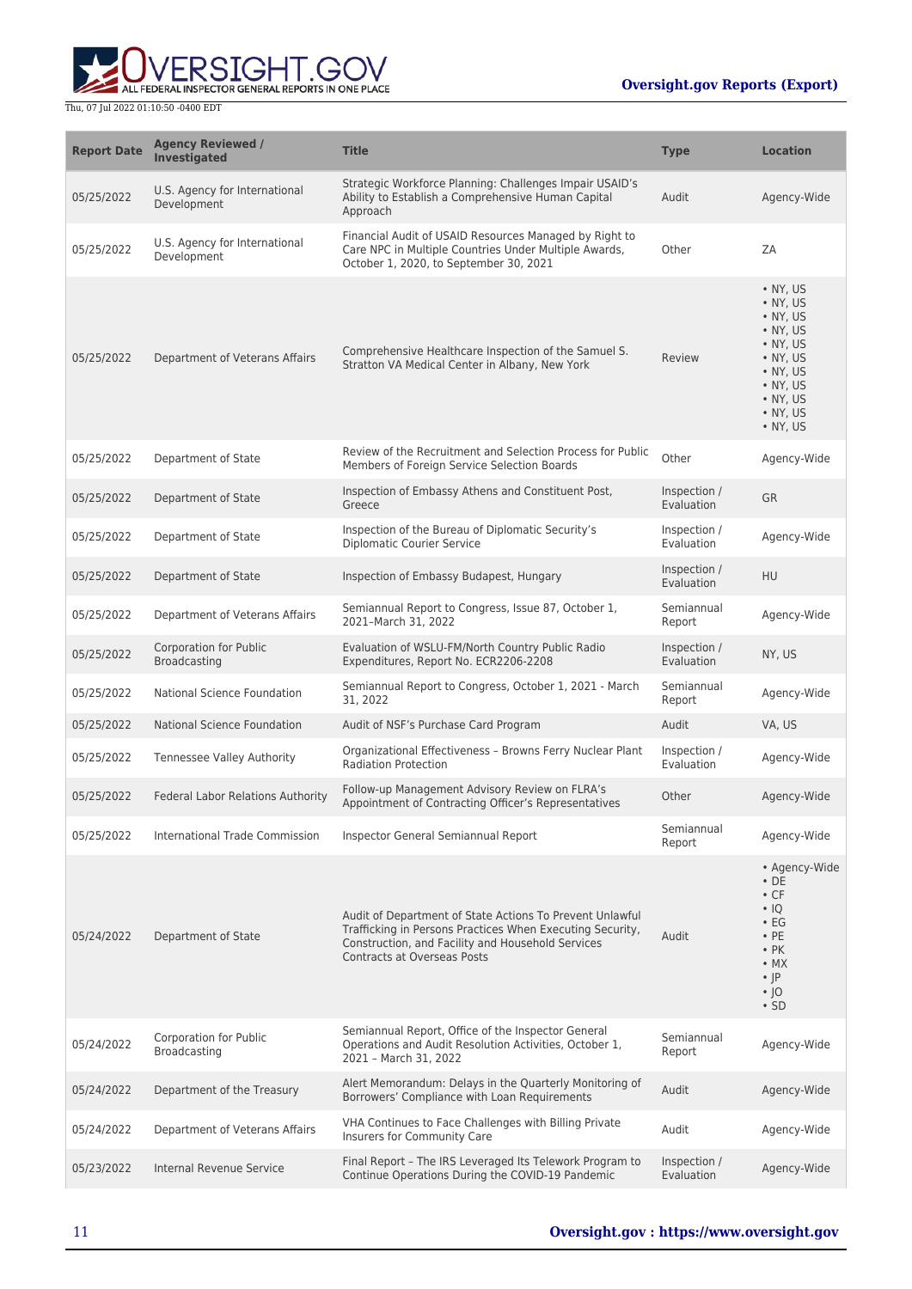

| <b>Report Date</b> | <b>Agency Reviewed /</b><br><b>Investigated</b> | <b>Title</b>                                                                                                                                                                                              | <b>Type</b>                | <b>Location</b>                                                                                                                                                          |
|--------------------|-------------------------------------------------|-----------------------------------------------------------------------------------------------------------------------------------------------------------------------------------------------------------|----------------------------|--------------------------------------------------------------------------------------------------------------------------------------------------------------------------|
| 05/25/2022         | U.S. Agency for International<br>Development    | Strategic Workforce Planning: Challenges Impair USAID's<br>Ability to Establish a Comprehensive Human Capital<br>Approach                                                                                 | Audit                      | Agency-Wide                                                                                                                                                              |
| 05/25/2022         | U.S. Agency for International<br>Development    | Financial Audit of USAID Resources Managed by Right to<br>Care NPC in Multiple Countries Under Multiple Awards,<br>October 1, 2020, to September 30, 2021                                                 | Other                      | ZA                                                                                                                                                                       |
| 05/25/2022         | Department of Veterans Affairs                  | Comprehensive Healthcare Inspection of the Samuel S.<br>Stratton VA Medical Center in Albany, New York                                                                                                    | Review                     | $\bullet$ NY, US<br>• NY, US<br>• NY, US<br>$\bullet$ NY, US<br>• NY, US<br>$\bullet$ NY, US<br>• NY, US<br>$\bullet$ NY, US<br>• NY, US<br>$\bullet$ NY, US<br>• NY, US |
| 05/25/2022         | Department of State                             | Review of the Recruitment and Selection Process for Public<br>Members of Foreign Service Selection Boards                                                                                                 | Other                      | Agency-Wide                                                                                                                                                              |
| 05/25/2022         | Department of State                             | Inspection of Embassy Athens and Constituent Post,<br>Greece                                                                                                                                              | Inspection /<br>Evaluation | <b>GR</b>                                                                                                                                                                |
| 05/25/2022         | Department of State                             | Inspection of the Bureau of Diplomatic Security's<br><b>Diplomatic Courier Service</b>                                                                                                                    | Inspection /<br>Evaluation | Agency-Wide                                                                                                                                                              |
| 05/25/2022         | Department of State                             | Inspection of Embassy Budapest, Hungary                                                                                                                                                                   | Inspection /<br>Evaluation | HU                                                                                                                                                                       |
| 05/25/2022         | Department of Veterans Affairs                  | Semiannual Report to Congress, Issue 87, October 1,<br>2021-March 31, 2022                                                                                                                                | Semiannual<br>Report       | Agency-Wide                                                                                                                                                              |
| 05/25/2022         | <b>Corporation for Public</b><br>Broadcasting   | Evaluation of WSLU-FM/North Country Public Radio<br>Expenditures, Report No. ECR2206-2208                                                                                                                 | Inspection /<br>Evaluation | NY, US                                                                                                                                                                   |
| 05/25/2022         | National Science Foundation                     | Semiannual Report to Congress, October 1, 2021 - March<br>31, 2022                                                                                                                                        | Semiannual<br>Report       | Agency-Wide                                                                                                                                                              |
| 05/25/2022         | <b>National Science Foundation</b>              | Audit of NSF's Purchase Card Program                                                                                                                                                                      | Audit                      | VA, US                                                                                                                                                                   |
| 05/25/2022         | Tennessee Valley Authority                      | Organizational Effectiveness - Browns Ferry Nuclear Plant<br><b>Radiation Protection</b>                                                                                                                  | Inspection /<br>Evaluation | Agency-Wide                                                                                                                                                              |
| 05/25/2022         | <b>Federal Labor Relations Authority</b>        | Follow-up Management Advisory Review on FLRA's<br>Appointment of Contracting Officer's Representatives                                                                                                    | Other                      | Agency-Wide                                                                                                                                                              |
| 05/25/2022         | International Trade Commission                  | Inspector General Semiannual Report                                                                                                                                                                       | Semiannual<br>Report       | Agency-Wide                                                                                                                                                              |
| 05/24/2022         | Department of State                             | Audit of Department of State Actions To Prevent Unlawful<br>Trafficking in Persons Practices When Executing Security,<br>Construction, and Facility and Household Services<br>Contracts at Overseas Posts | Audit                      | • Agency-Wide<br>$\cdot$ DE<br>$\cdot$ CF<br>$\cdot$ IQ<br>$\cdot$ EG<br>$\cdot$ PE<br>$\cdot$ PK<br>$\bullet$ MX<br>$\cdot$  P<br>∙ ∣0<br>$\cdot$ SD                    |
| 05/24/2022         | Corporation for Public<br>Broadcasting          | Semiannual Report, Office of the Inspector General<br>Operations and Audit Resolution Activities, October 1,<br>2021 - March 31, 2022                                                                     | Semiannual<br>Report       | Agency-Wide                                                                                                                                                              |
| 05/24/2022         | Department of the Treasury                      | Alert Memorandum: Delays in the Quarterly Monitoring of<br>Borrowers' Compliance with Loan Requirements                                                                                                   | Audit                      | Agency-Wide                                                                                                                                                              |
| 05/24/2022         | Department of Veterans Affairs                  | VHA Continues to Face Challenges with Billing Private<br>Insurers for Community Care                                                                                                                      | Audit                      | Agency-Wide                                                                                                                                                              |
| 05/23/2022         | <b>Internal Revenue Service</b>                 | Final Report - The IRS Leveraged Its Telework Program to<br>Continue Operations During the COVID-19 Pandemic                                                                                              | Inspection /<br>Evaluation | Agency-Wide                                                                                                                                                              |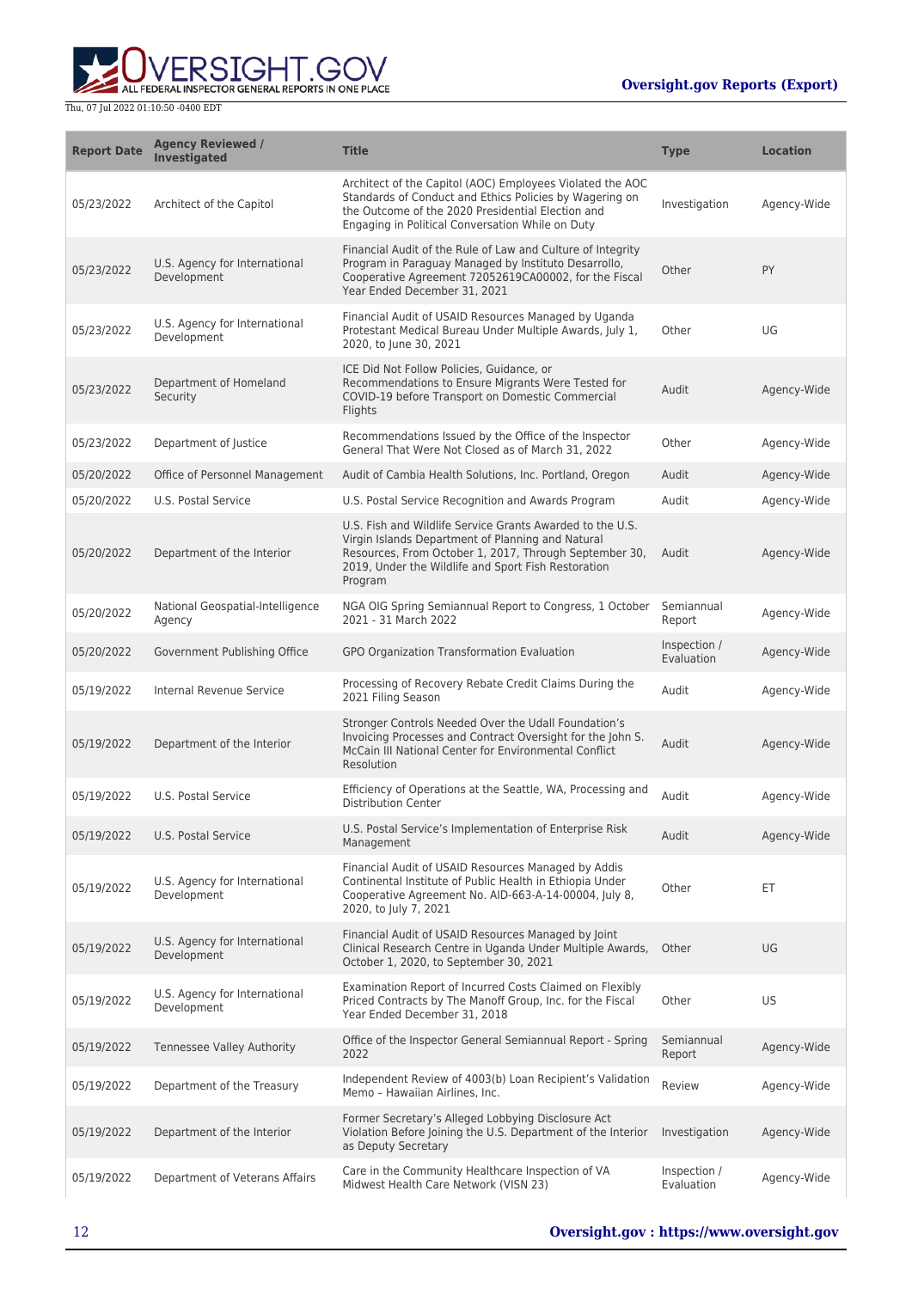

| <b>Report Date</b> | <b>Agency Reviewed /</b><br><b>Investigated</b> | <b>Title</b>                                                                                                                                                                                                                               | <b>Type</b>                | <b>Location</b> |
|--------------------|-------------------------------------------------|--------------------------------------------------------------------------------------------------------------------------------------------------------------------------------------------------------------------------------------------|----------------------------|-----------------|
| 05/23/2022         | Architect of the Capitol                        | Architect of the Capitol (AOC) Employees Violated the AOC<br>Standards of Conduct and Ethics Policies by Wagering on<br>the Outcome of the 2020 Presidential Election and<br>Engaging in Political Conversation While on Duty              | Investigation              | Agency-Wide     |
| 05/23/2022         | U.S. Agency for International<br>Development    | Financial Audit of the Rule of Law and Culture of Integrity<br>Program in Paraguay Managed by Instituto Desarrollo,<br>Cooperative Agreement 72052619CA00002, for the Fiscal<br>Year Ended December 31, 2021                               | Other                      | PY              |
| 05/23/2022         | U.S. Agency for International<br>Development    | Financial Audit of USAID Resources Managed by Uganda<br>Protestant Medical Bureau Under Multiple Awards, July 1,<br>2020, to lune 30, 2021                                                                                                 | Other                      | UG              |
| 05/23/2022         | Department of Homeland<br>Security              | ICE Did Not Follow Policies, Guidance, or<br>Recommendations to Ensure Migrants Were Tested for<br>COVID-19 before Transport on Domestic Commercial<br>Flights                                                                             | Audit                      | Agency-Wide     |
| 05/23/2022         | Department of Justice                           | Recommendations Issued by the Office of the Inspector<br>General That Were Not Closed as of March 31, 2022                                                                                                                                 | Other                      | Agency-Wide     |
| 05/20/2022         | Office of Personnel Management                  | Audit of Cambia Health Solutions, Inc. Portland, Oregon                                                                                                                                                                                    | Audit                      | Agency-Wide     |
| 05/20/2022         | U.S. Postal Service                             | U.S. Postal Service Recognition and Awards Program                                                                                                                                                                                         | Audit                      | Agency-Wide     |
| 05/20/2022         | Department of the Interior                      | U.S. Fish and Wildlife Service Grants Awarded to the U.S.<br>Virgin Islands Department of Planning and Natural<br>Resources, From October 1, 2017, Through September 30,<br>2019, Under the Wildlife and Sport Fish Restoration<br>Program | Audit                      | Agency-Wide     |
| 05/20/2022         | National Geospatial-Intelligence<br>Agency      | NGA OIG Spring Semiannual Report to Congress, 1 October<br>2021 - 31 March 2022                                                                                                                                                            | Semiannual<br>Report       | Agency-Wide     |
| 05/20/2022         | Government Publishing Office                    | GPO Organization Transformation Evaluation                                                                                                                                                                                                 | Inspection /<br>Evaluation | Agency-Wide     |
| 05/19/2022         | Internal Revenue Service                        | Processing of Recovery Rebate Credit Claims During the<br>2021 Filing Season                                                                                                                                                               | Audit                      | Agency-Wide     |
| 05/19/2022         | Department of the Interior                      | Stronger Controls Needed Over the Udall Foundation's<br>Invoicing Processes and Contract Oversight for the John S.<br>McCain III National Center for Environmental Conflict<br>Resolution                                                  | Audit                      | Agency-Wide     |
| 05/19/2022         | U.S. Postal Service                             | Efficiency of Operations at the Seattle, WA, Processing and<br><b>Distribution Center</b>                                                                                                                                                  | Audit                      | Agency-Wide     |
| 05/19/2022         | U.S. Postal Service                             | U.S. Postal Service's Implementation of Enterprise Risk<br>Management                                                                                                                                                                      | Audit                      | Agency-Wide     |
| 05/19/2022         | U.S. Agency for International<br>Development    | Financial Audit of USAID Resources Managed by Addis<br>Continental Institute of Public Health in Ethiopia Under<br>Cooperative Agreement No. AID-663-A-14-00004, July 8,<br>2020, to July 7, 2021                                          | Other                      | ET              |
| 05/19/2022         | U.S. Agency for International<br>Development    | Financial Audit of USAID Resources Managed by Joint<br>Clinical Research Centre in Uganda Under Multiple Awards,<br>October 1, 2020, to September 30, 2021                                                                                 | Other                      | UG              |
| 05/19/2022         | U.S. Agency for International<br>Development    | Examination Report of Incurred Costs Claimed on Flexibly<br>Priced Contracts by The Manoff Group, Inc. for the Fiscal<br>Year Ended December 31, 2018                                                                                      | Other                      | US              |
| 05/19/2022         | Tennessee Valley Authority                      | Office of the Inspector General Semiannual Report - Spring<br>2022                                                                                                                                                                         | Semiannual<br>Report       | Agency-Wide     |
| 05/19/2022         | Department of the Treasury                      | Independent Review of 4003(b) Loan Recipient's Validation<br>Memo - Hawaiian Airlines, Inc.                                                                                                                                                | Review                     | Agency-Wide     |
| 05/19/2022         | Department of the Interior                      | Former Secretary's Alleged Lobbying Disclosure Act<br>Violation Before Joining the U.S. Department of the Interior<br>as Deputy Secretary                                                                                                  | Investigation              | Agency-Wide     |
| 05/19/2022         | Department of Veterans Affairs                  | Care in the Community Healthcare Inspection of VA<br>Midwest Health Care Network (VISN 23)                                                                                                                                                 | Inspection /<br>Evaluation | Agency-Wide     |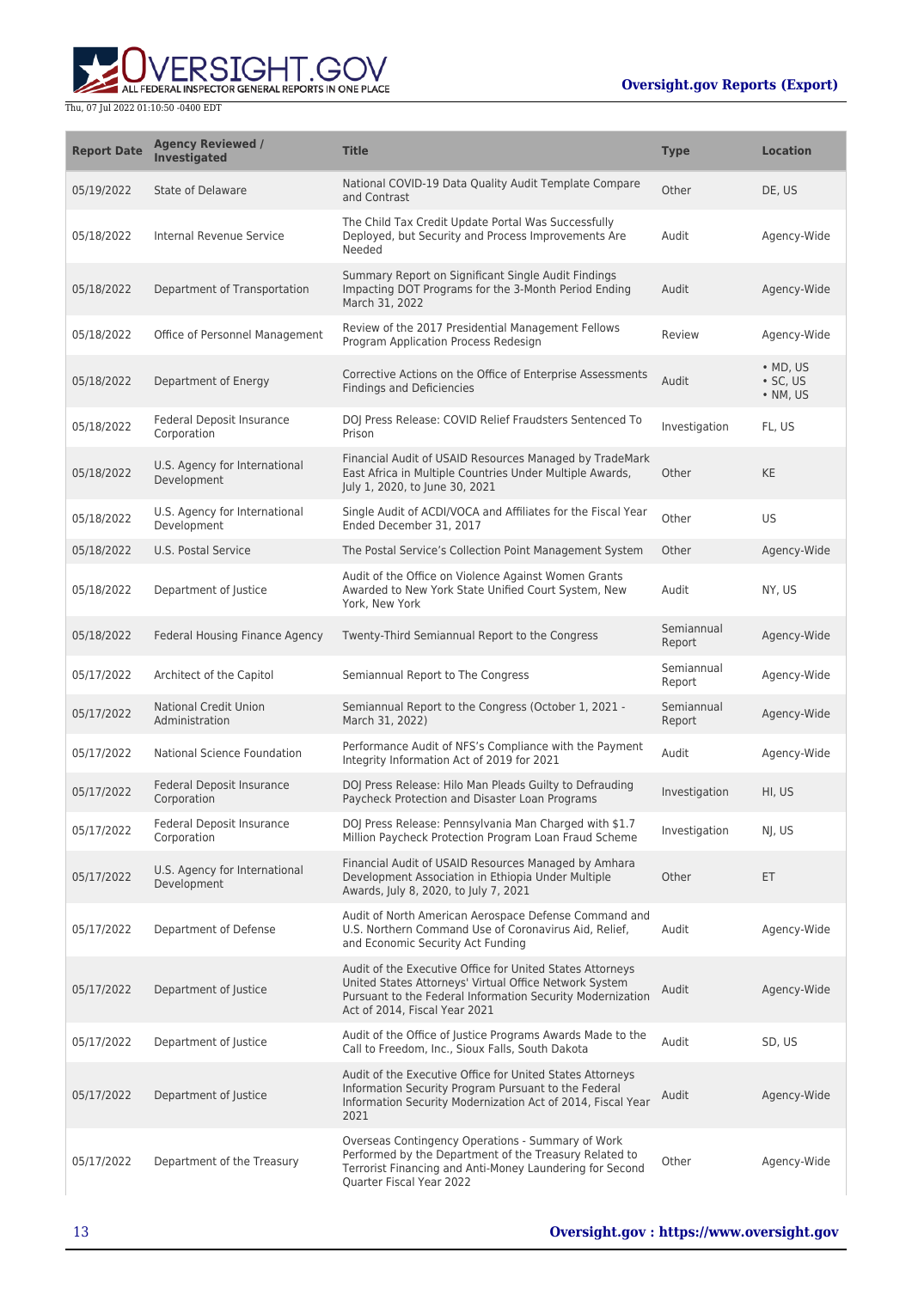

| <b>Report Date</b> | <b>Agency Reviewed /</b><br><b>Investigated</b> | <b>Title</b>                                                                                                                                                                                                       | <b>Type</b>          | <b>Location</b>                          |
|--------------------|-------------------------------------------------|--------------------------------------------------------------------------------------------------------------------------------------------------------------------------------------------------------------------|----------------------|------------------------------------------|
| 05/19/2022         | State of Delaware                               | National COVID-19 Data Quality Audit Template Compare<br>and Contrast                                                                                                                                              | Other                | DE, US                                   |
| 05/18/2022         | Internal Revenue Service                        | The Child Tax Credit Update Portal Was Successfully<br>Deployed, but Security and Process Improvements Are<br>Needed                                                                                               | Audit                | Agency-Wide                              |
| 05/18/2022         | Department of Transportation                    | Summary Report on Significant Single Audit Findings<br>Impacting DOT Programs for the 3-Month Period Ending<br>March 31, 2022                                                                                      | Audit                | Agency-Wide                              |
| 05/18/2022         | Office of Personnel Management                  | Review of the 2017 Presidential Management Fellows<br>Program Application Process Redesign                                                                                                                         | Review               | Agency-Wide                              |
| 05/18/2022         | Department of Energy                            | Corrective Actions on the Office of Enterprise Assessments<br><b>Findings and Deficiencies</b>                                                                                                                     | Audit                | $\bullet$ MD, US<br>· SC, US<br>• NM, US |
| 05/18/2022         | Federal Deposit Insurance<br>Corporation        | DOJ Press Release: COVID Relief Fraudsters Sentenced To<br>Prison                                                                                                                                                  | Investigation        | FL, US                                   |
| 05/18/2022         | U.S. Agency for International<br>Development    | Financial Audit of USAID Resources Managed by TradeMark<br>East Africa in Multiple Countries Under Multiple Awards,<br>July 1, 2020, to June 30, 2021                                                              | Other                | KE                                       |
| 05/18/2022         | U.S. Agency for International<br>Development    | Single Audit of ACDI/VOCA and Affiliates for the Fiscal Year<br>Ended December 31, 2017                                                                                                                            | Other                | US                                       |
| 05/18/2022         | U.S. Postal Service                             | The Postal Service's Collection Point Management System                                                                                                                                                            | Other                | Agency-Wide                              |
| 05/18/2022         | Department of Justice                           | Audit of the Office on Violence Against Women Grants<br>Awarded to New York State Unified Court System, New<br>York, New York                                                                                      | Audit                | NY, US                                   |
| 05/18/2022         | Federal Housing Finance Agency                  | Twenty-Third Semiannual Report to the Congress                                                                                                                                                                     | Semiannual<br>Report | Agency-Wide                              |
| 05/17/2022         | Architect of the Capitol                        | Semiannual Report to The Congress                                                                                                                                                                                  | Semiannual<br>Report | Agency-Wide                              |
| 05/17/2022         | <b>National Credit Union</b><br>Administration  | Semiannual Report to the Congress (October 1, 2021 -<br>March 31, 2022)                                                                                                                                            | Semiannual<br>Report | Agency-Wide                              |
| 05/17/2022         | National Science Foundation                     | Performance Audit of NFS's Compliance with the Payment<br>Integrity Information Act of 2019 for 2021                                                                                                               | Audit                | Agency-Wide                              |
| 05/17/2022         | Federal Deposit Insurance<br>Corporation        | DOJ Press Release: Hilo Man Pleads Guilty to Defrauding<br>Paycheck Protection and Disaster Loan Programs                                                                                                          | Investigation        | HI, US                                   |
| 05/17/2022         | Federal Deposit Insurance<br>Corporation        | DOJ Press Release: Pennsylvania Man Charged with \$1.7<br>Million Paycheck Protection Program Loan Fraud Scheme                                                                                                    | Investigation        | NJ, US                                   |
| 05/17/2022         | U.S. Agency for International<br>Development    | Financial Audit of USAID Resources Managed by Amhara<br>Development Association in Ethiopia Under Multiple<br>Awards, July 8, 2020, to July 7, 2021                                                                | Other                | ET                                       |
| 05/17/2022         | Department of Defense                           | Audit of North American Aerospace Defense Command and<br>U.S. Northern Command Use of Coronavirus Aid, Relief,<br>and Economic Security Act Funding                                                                | Audit                | Agency-Wide                              |
| 05/17/2022         | Department of Justice                           | Audit of the Executive Office for United States Attorneys<br>United States Attorneys' Virtual Office Network System<br>Pursuant to the Federal Information Security Modernization<br>Act of 2014, Fiscal Year 2021 | Audit                | Agency-Wide                              |
| 05/17/2022         | Department of Justice                           | Audit of the Office of Justice Programs Awards Made to the<br>Call to Freedom, Inc., Sioux Falls, South Dakota                                                                                                     | Audit                | SD, US                                   |
| 05/17/2022         | Department of Justice                           | Audit of the Executive Office for United States Attorneys<br>Information Security Program Pursuant to the Federal<br>Information Security Modernization Act of 2014, Fiscal Year<br>2021                           | Audit                | Agency-Wide                              |
| 05/17/2022         | Department of the Treasury                      | Overseas Contingency Operations - Summary of Work<br>Performed by the Department of the Treasury Related to<br>Terrorist Financing and Anti-Money Laundering for Second<br>Quarter Fiscal Year 2022                | Other                | Agency-Wide                              |